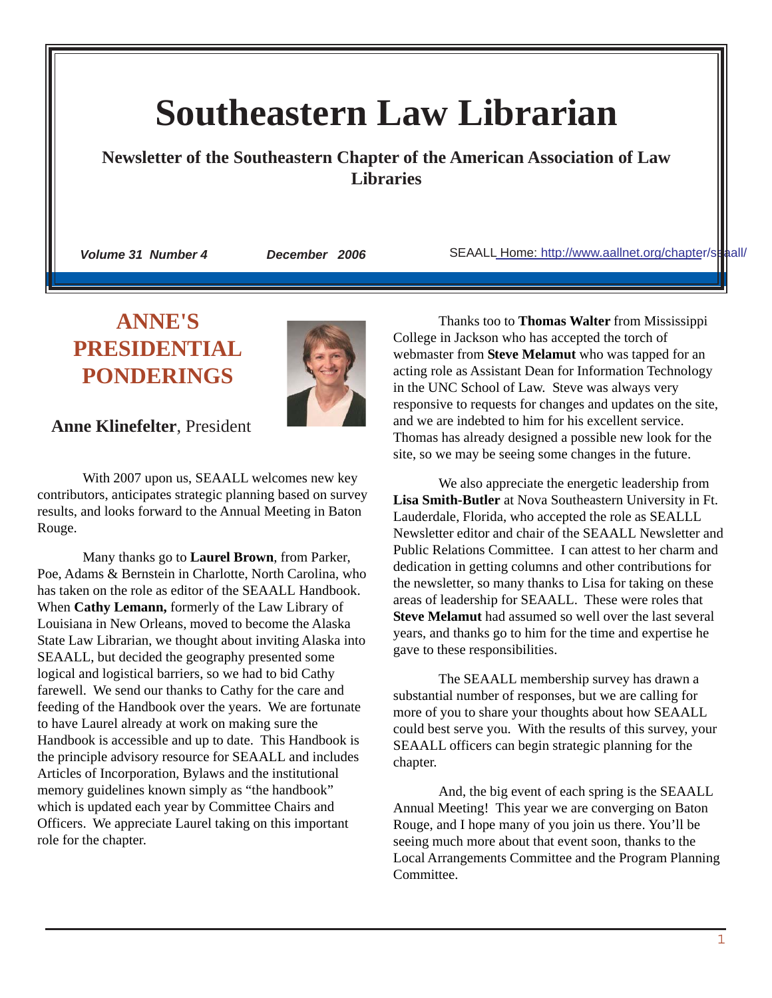# **Southeastern Law Librarian**

**Newsletter of the Southeastern Chapter of the American Association of Law Libraries**

 *Volume 31 Number 4 December 2006* SEAALL [Home: http://www.aallnet.org/chapte](http://www.aallnet.org/chapter/seaall/)r/seaall/

## **ANNE'S PRESIDENTIAL PONDERINGS**



 **Anne Klinefelter**, President

With 2007 upon us, SEAALL welcomes new key contributors, anticipates strategic planning based on survey results, and looks forward to the Annual Meeting in Baton Rouge.

Many thanks go to **Laurel Brown**, from Parker, Poe, Adams & Bernstein in Charlotte, North Carolina, who has taken on the role as editor of the SEAALL Handbook. When **Cathy Lemann,** formerly of the Law Library of Louisiana in New Orleans, moved to become the Alaska State Law Librarian, we thought about inviting Alaska into SEAALL, but decided the geography presented some logical and logistical barriers, so we had to bid Cathy farewell. We send our thanks to Cathy for the care and feeding of the Handbook over the years. We are fortunate to have Laurel already at work on making sure the Handbook is accessible and up to date. This Handbook is the principle advisory resource for SEAALL and includes Articles of Incorporation, Bylaws and the institutional memory guidelines known simply as "the handbook" which is updated each year by Committee Chairs and Officers. We appreciate Laurel taking on this important role for the chapter.

Thanks too to **Thomas Walter** from Mississippi College in Jackson who has accepted the torch of webmaster from **Steve Melamut** who was tapped for an acting role as Assistant Dean for Information Technology in the UNC School of Law. Steve was always very responsive to requests for changes and updates on the site, and we are indebted to him for his excellent service. Thomas has already designed a possible new look for the site, so we may be seeing some changes in the future.

We also appreciate the energetic leadership from **Lisa Smith-Butler** at Nova Southeastern University in Ft. Lauderdale, Florida, who accepted the role as SEALLL Newsletter editor and chair of the SEAALL Newsletter and Public Relations Committee. I can attest to her charm and dedication in getting columns and other contributions for the newsletter, so many thanks to Lisa for taking on these areas of leadership for SEAALL. These were roles that **Steve Melamut** had assumed so well over the last several years, and thanks go to him for the time and expertise he gave to these responsibilities.

The SEAALL membership survey has drawn a substantial number of responses, but we are calling for more of you to share your thoughts about how SEAALL could best serve you. With the results of this survey, your SEAALL officers can begin strategic planning for the chapter.

And, the big event of each spring is the SEAALL Annual Meeting! This year we are converging on Baton Rouge, and I hope many of you join us there. You'll be seeing much more about that event soon, thanks to the Local Arrangements Committee and the Program Planning Committee.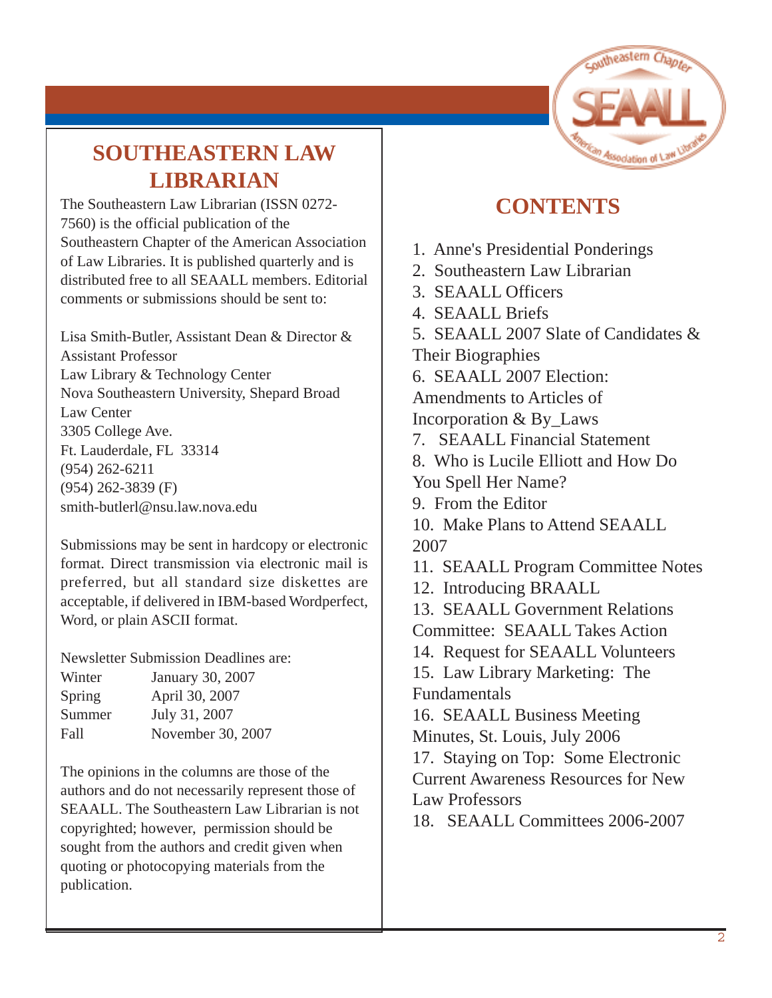# nutheastern

# **SOUTHEASTERN LAW LIBRARIAN**

The Southeastern Law Librarian (ISSN 0272- 7560) is the official publication of the Southeastern Chapter of the American Association of Law Libraries. It is published quarterly and is distributed free to all SEAALL members. Editorial comments or submissions should be sent to:

Lisa Smith-Butler, Assistant Dean & Director & Assistant Professor Law Library & Technology Center Nova Southeastern University, Shepard Broad Law Center 3305 College Ave. Ft. Lauderdale, FL 33314 (954) 262-6211 (954) 262-3839 (F) smith-butlerl@nsu.law.nova.edu

Submissions may be sent in hardcopy or electronic format. Direct transmission via electronic mail is preferred, but all standard size diskettes are acceptable, if delivered in IBM-based Wordperfect, Word, or plain ASCII format.

Newsletter Submission Deadlines are:

| Winter | January 30, 2007  |
|--------|-------------------|
| Spring | April 30, 2007    |
| Summer | July 31, 2007     |
| Fall   | November 30, 2007 |

The opinions in the columns are those of the authors and do not necessarily represent those of SEAALL. The Southeastern Law Librarian is not copyrighted; however, permission should be sought from the authors and credit given when quoting or photocopying materials from the publication.

## **CONTENTS**

- 1. Anne's Presidential Ponderings
- 2. Southeastern Law Librarian
- 3. SEAALL Officers
- 4. SEAALL Briefs
- 5. SEAALL 2007 Slate of Candidates & Their Biographies
- 6. SEAALL 2007 Election:

Amendments to Articles of Incorporation & By\_Laws

- 7. SEAALL Financial Statement
- 8. Who is Lucile Elliott and How Do You Spell Her Name?
- 9. From the Editor
- 10. Make Plans to Attend SEAALL 2007
- 11. SEAALL Program Committee Notes
- 12. Introducing BRAALL
- 13. SEAALL Government Relations Committee: SEAALL Takes Action
- 14. Request for SEAALL Volunteers
- 15. Law Library Marketing: The Fundamentals

16. SEAALL Business Meeting Minutes, St. Louis, July 2006

17. Staying on Top: Some Electronic Current Awareness Resources for New Law Professors

18. SEAALL Committees 2006-2007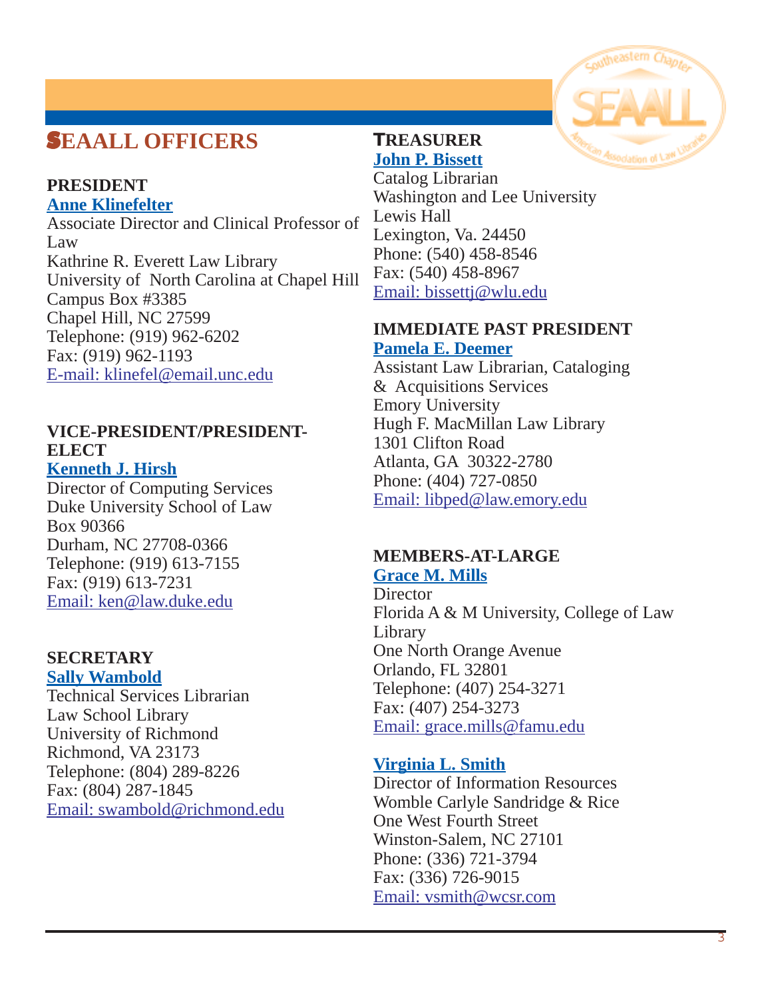## S**EAALL OFFICERS**

#### **PRESIDENT Anne Klinefelter**

Associate Director and Clinical Professor of Law Kathrine R. Everett Law Library University of North Carolina at Chapel Hill Campus Box #3385 Chapel Hill, NC 27599 Telephone: (919) 962-6202 Fax: (919) 962-1193 [E-mail: klinefel@email.unc.edu](mailto:klinefel@email.unc.edu)

#### **VICE-PRESIDENT/PRESIDENT-ELECT Kenneth J. Hirsh**

Director of Computing Services Duke University School of Law Box 90366 Durham, NC 27708-0366 Telephone: (919) 613-7155 Fax: (919) 613-7231 Email: [ken@law.duke.edu](mailto:ken@law.duke.edu)

## **SECRETARY**

**Sally Wambold**

Technical Services Librarian Law School Library University of Richmond Richmond, VA 23173 Telephone: (804) 289-8226 Fax: (804) 287-1845 [Email: swambold@richmond.edu](mailto:swambold@richmond.edu)

## **TREASURER John P. Bissett**

Catalog Librarian Washington and Lee University Lewis Hall Lexington, Va. 24450 Phone: (540) 458-8546 Fax: (540) 458-8967 [Email: bissettj@wlu.edu](mailto:bissettj@wlu.edu)

#### **IMMEDIATE PAST PRESIDENT Pamela E. Deemer**

Assistant Law Librarian, Cataloging & Acquisitions Services Emory University Hugh F. MacMillan Law Library 1301 Clifton Road Atlanta, GA 30322-2780 Phone: (404) 727-0850 [Email: libped@law.emory.edu](mailto:libped@law.emory.edu)

## **MEMBERS-AT-LARGE**

**Grace M. Mills**

**Director** Florida A & M University, College of Law Library One North Orange Avenue Orlando, FL 32801 Telephone: (407) 254-3271 Fax: (407) 254-3273 Email: [grace.mills@famu.edu](mailto:grace.mills@famu.edu)

### **Virginia L. Smith**

Director of Information Resources Womble Carlyle Sandridge & Rice One West Fourth Street Winston-Salem, NC 27101 Phone: (336) 721-3794 Fax: (336) 726-9015 [Email: vsmith@wcsr.com](mailto:vsmith@wcsr.com)

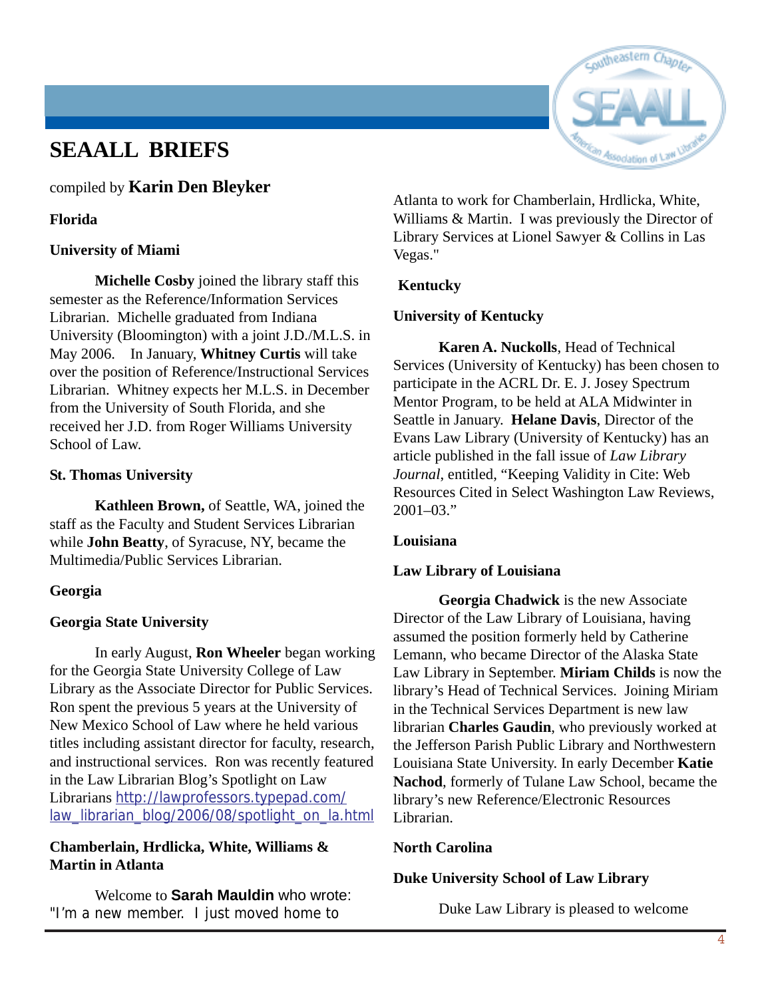## **SEAALL BRIEFS**

compiled by **Karin Den Bleyker**

#### **Florida**

#### **University of Miami**

**Michelle Cosby** joined the library staff this semester as the Reference/Information Services Librarian. Michelle graduated from Indiana University (Bloomington) with a joint J.D./M.L.S. in May 2006. In January, **Whitney Curtis** will take over the position of Reference/Instructional Services Librarian. Whitney expects her M.L.S. in December from the University of South Florida, and she received her J.D. from Roger Williams University School of Law.

#### **St. Thomas University**

**Kathleen Brown,** of Seattle, WA, joined the staff as the Faculty and Student Services Librarian while **John Beatty**, of Syracuse, NY, became the Multimedia/Public Services Librarian.

#### **Georgia**

#### **Georgia State University**

In early August, **Ron Wheeler** began working for the Georgia State University College of Law Library as the Associate Director for Public Services. Ron spent the previous 5 years at the University of New Mexico School of Law where he held various titles including assistant director for faculty, research, and instructional services. Ron was recently featured in the Law Librarian Blog's Spotlight on Law Librarians http://lawprofessors.typepad.com/ law\_librarian\_blog/2006/08/spotlight\_on\_la.html

#### **Chamberlain, Hrdlicka, White, Williams & Martin in Atlanta**

Welcome to **Sarah Mauldin** who wrote: "I'm a new member. I just moved home to



Atlanta to work for Chamberlain, Hrdlicka, White, Williams & Martin. I was previously the Director of Library Services at Lionel Sawyer & Collins in Las Vegas."

#### **Kentucky**

#### **University of Kentucky**

**Karen A. Nuckolls**, Head of Technical Services (University of Kentucky) has been chosen to participate in the ACRL Dr. E. J. Josey Spectrum Mentor Program, to be held at ALA Midwinter in Seattle in January. **Helane Davis**, Director of the Evans Law Library (University of Kentucky) has an article published in the fall issue of *Law Library Journal*, entitled, "Keeping Validity in Cite: Web Resources Cited in Select Washington Law Reviews,  $2001-03$ ."

#### **Louisiana**

#### **Law Library of Louisiana**

**Georgia Chadwick** is the new Associate Director of the Law Library of Louisiana, having assumed the position formerly held by Catherine Lemann, who became Director of the Alaska State Law Library in September. **Miriam Childs** is now the library's Head of Technical Services. Joining Miriam in the Technical Services Department is new law librarian **Charles Gaudin**, who previously worked at the Jefferson Parish Public Library and Northwestern Louisiana State University. In early December **Katie Nachod**, formerly of Tulane Law School, became the library's new Reference/Electronic Resources Librarian.

#### **North Carolina**

#### **Duke University School of Law Library**

Duke Law Library is pleased to welcome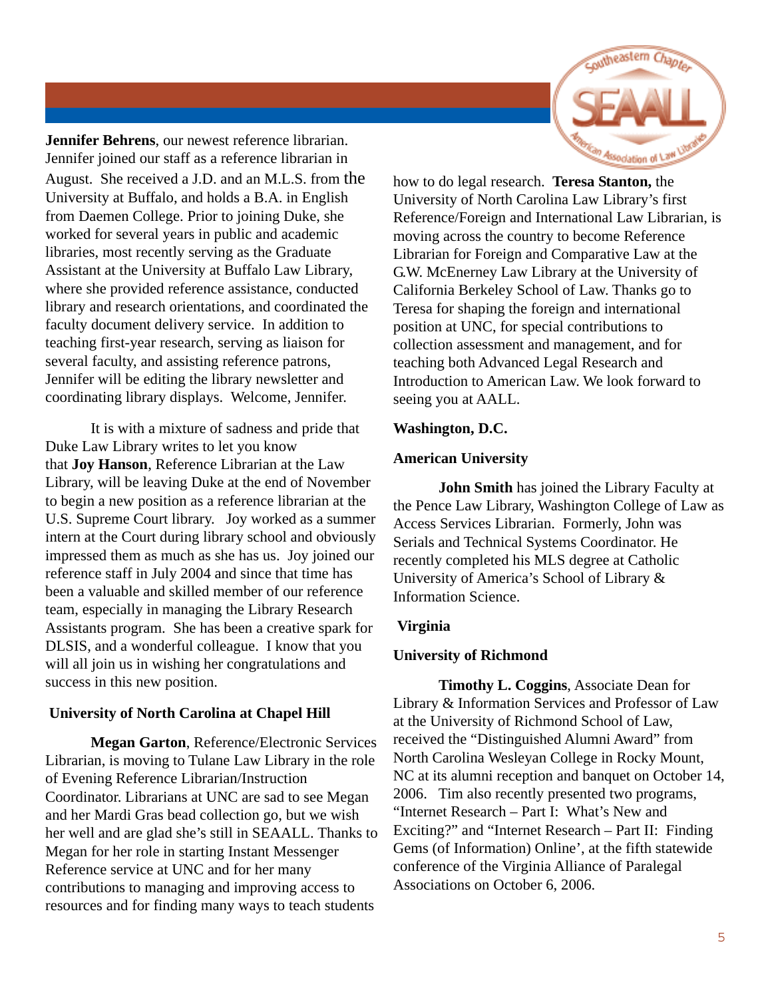

**Jennifer Behrens**, our newest reference librarian. Jennifer joined our staff as a reference librarian in August. She received a J.D. and an M.L.S. from the University at Buffalo, and holds a B.A. in English from Daemen College. Prior to joining Duke, she worked for several years in public and academic libraries, most recently serving as the Graduate Assistant at the University at Buffalo Law Library, where she provided reference assistance, conducted library and research orientations, and coordinated the faculty document delivery service. In addition to teaching first-year research, serving as liaison for several faculty, and assisting reference patrons, Jennifer will be editing the library newsletter and coordinating library displays. Welcome, Jennifer.

It is with a mixture of sadness and pride that Duke Law Library writes to let you know that **Joy Hanson**, Reference Librarian at the Law Library, will be leaving Duke at the end of November to begin a new position as a reference librarian at the U.S. Supreme Court library. Joy worked as a summer intern at the Court during library school and obviously impressed them as much as she has us. Joy joined our reference staff in July 2004 and since that time has been a valuable and skilled member of our reference team, especially in managing the Library Research Assistants program. She has been a creative spark for DLSIS, and a wonderful colleague. I know that you will all join us in wishing her congratulations and success in this new position.

#### **University of North Carolina at Chapel Hill**

**Megan Garton**, Reference/Electronic Services Librarian, is moving to Tulane Law Library in the role of Evening Reference Librarian/Instruction Coordinator. Librarians at UNC are sad to see Megan and her Mardi Gras bead collection go, but we wish her well and are glad she's still in SEAALL. Thanks to Megan for her role in starting Instant Messenger Reference service at UNC and for her many contributions to managing and improving access to resources and for finding many ways to teach students

how to do legal research. **Teresa Stanton,** the University of North Carolina Law Library's first Reference/Foreign and International Law Librarian, is moving across the country to become Reference Librarian for Foreign and Comparative Law at the G.W. McEnerney Law Library at the University of California Berkeley School of Law. Thanks go to Teresa for shaping the foreign and international position at UNC, for special contributions to collection assessment and management, and for teaching both Advanced Legal Research and Introduction to American Law. We look forward to seeing you at AALL.

#### **Washington, D.C.**

#### **American University**

**John Smith** has joined the Library Faculty at the Pence Law Library, Washington College of Law as Access Services Librarian. Formerly, John was Serials and Technical Systems Coordinator. He recently completed his MLS degree at Catholic University of America's School of Library & Information Science.

#### **Virginia**

#### **University of Richmond**

**Timothy L. Coggins**, Associate Dean for Library & Information Services and Professor of Law at the University of Richmond School of Law, received the "Distinguished Alumni Award" from North Carolina Wesleyan College in Rocky Mount, NC at its alumni reception and banquet on October 14, 2006. Tim also recently presented two programs, "Internet Research – Part I: What's New and Exciting?" and "Internet Research – Part II: Finding Gems (of Information) Online', at the fifth statewide conference of the Virginia Alliance of Paralegal Associations on October 6, 2006.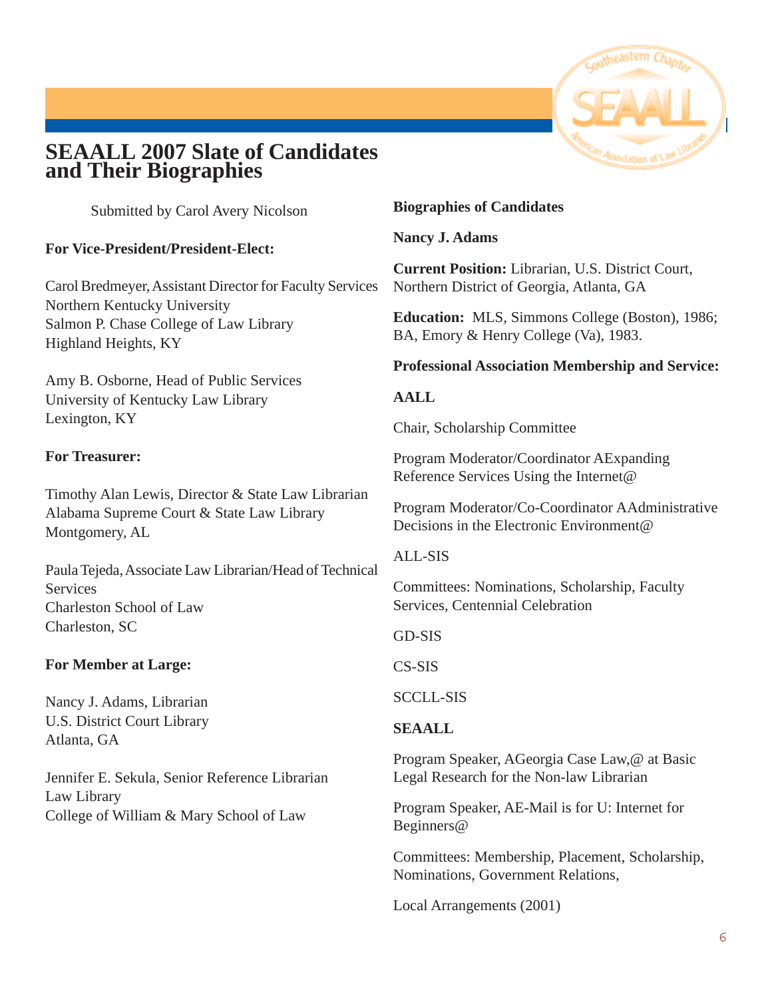## **SEAALL 2007 Slate of Candidates and Their Biographies**

Submitted by Carol Avery Nicolson

#### **For Vice-President/President-Elect:**

Carol Bredmeyer, Assistant Director for Faculty Services Northern Kentucky University Salmon P. Chase College of Law Library Highland Heights, KY

Amy B. Osborne, Head of Public Services University of Kentucky Law Library Lexington, KY

#### **For Treasurer:**

Timothy Alan Lewis, Director & State Law Librarian Alabama Supreme Court & State Law Library Montgomery, AL

Paula Tejeda, Associate Law Librarian/Head of Technical **Services** Charleston School of Law Charleston, SC

#### **For Member at Large:**

Nancy J. Adams, Librarian U.S. District Court Library Atlanta, GA

Jennifer E. Sekula, Senior Reference Librarian Law Library College of William & Mary School of Law

#### **Biographies of Candidates**

**Nancy J. Adams**

**Current Position:** Librarian, U.S. District Court, Northern District of Georgia, Atlanta, GA

**Education:** MLS, Simmons College (Boston), 1986; BA, Emory & Henry College (Va), 1983.

#### **Professional Association Membership and Service:**

#### **AALL**

Chair, Scholarship Committee

Program Moderator/Coordinator AExpanding Reference Services Using the Internet@

Program Moderator/Co-Coordinator AAdministrative Decisions in the Electronic Environment@

#### ALL-SIS

Committees: Nominations, Scholarship, Faculty Services, Centennial Celebration

GD-SIS

CS-SIS

SCCLL-SIS

#### **SEAALL**

Program Speaker, AGeorgia Case Law,@ at Basic Legal Research for the Non-law Librarian

Program Speaker, AE-Mail is for U: Internet for Beginners@

Committees: Membership, Placement, Scholarship, Nominations, Government Relations,

Local Arrangements (2001)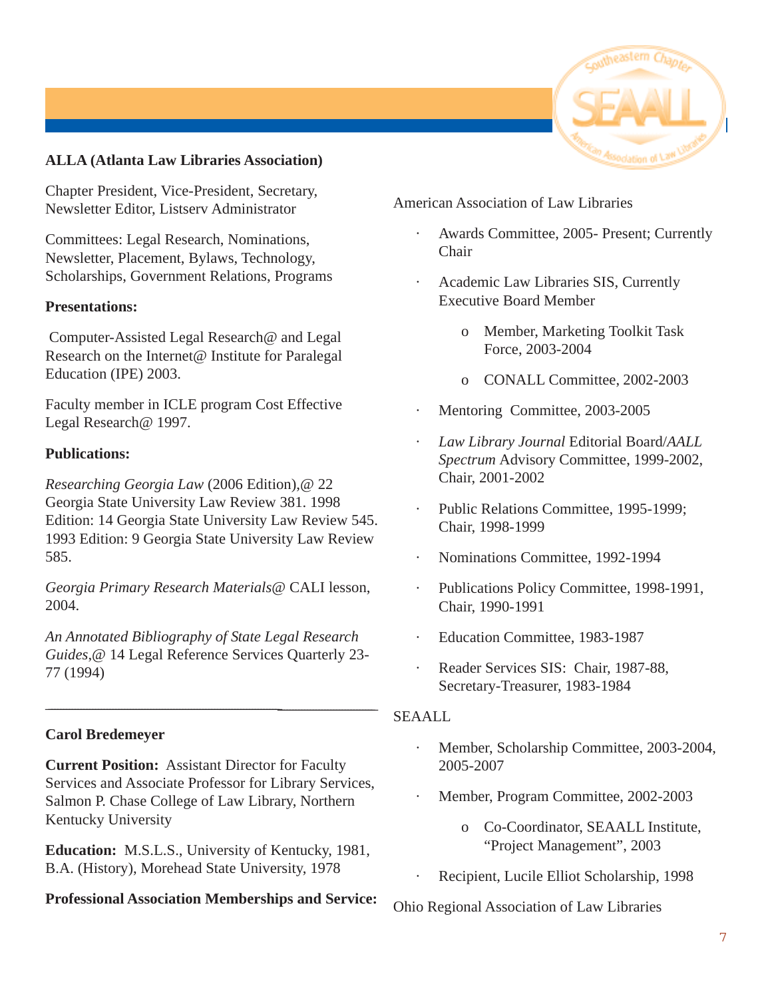

#### **ALLA (Atlanta Law Libraries Association)**

Chapter President, Vice-President, Secretary, Newsletter Editor, Listserv Administrator

Committees: Legal Research, Nominations, Newsletter, Placement, Bylaws, Technology, Scholarships, Government Relations, Programs

#### **Presentations:**

 Computer-Assisted Legal Research@ and Legal Research on the Internet@ Institute for Paralegal Education (IPE) 2003.

Faculty member in ICLE program Cost Effective Legal Research@ 1997.

#### **Publications:**

*Researching Georgia Law* (2006 Edition),@ 22 Georgia State University Law Review 381. 1998 Edition: 14 Georgia State University Law Review 545. 1993 Edition: 9 Georgia State University Law Review 585.

*Georgia Primary Research Materials*@ CALI lesson, 2004.

*An Annotated Bibliography of State Legal Research Guides*,@ 14 Legal Reference Services Quarterly 23- 77 (1994)

\_\_\_\_\_\_\_\_\_\_\_\_\_\_\_\_\_\_\_\_\_\_\_\_\_\_\_\_\_\_\_\_\_\_\_\_\_\_\_\_\_\_\_\_\_\_\_\_\_\_\_\_\_\_\_\_\_\_\_\_\_\_\_\_\_\_\_\_\_\_\_\_\_\_\_\_\_\_\_\_\_\_\_\_\_\_\_\_\_\_\_\_\_\_\_\_\_\_\_\_\_\_\_\_\_\_\_\_\_\_\_\_\_

#### **Carol Bredemeyer**

**Current Position:** Assistant Director for Faculty Services and Associate Professor for Library Services, Salmon P. Chase College of Law Library, Northern Kentucky University

**Education:** M.S.L.S., University of Kentucky, 1981, B.A. (History), Morehead State University, 1978

#### **Professional Association Memberships and Service:**

American Association of Law Libraries

- Awards Committee, 2005- Present; Currently Chair
- Academic Law Libraries SIS, Currently Executive Board Member
	- o Member, Marketing Toolkit Task Force, 2003-2004
	- o CONALL Committee, 2002-2003
- Mentoring Committee, 2003-2005
- · *Law Library Journal* Editorial Board/*AALL Spectrum* Advisory Committee, 1999-2002, Chair, 2001-2002
- Public Relations Committee, 1995-1999; Chair, 1998-1999
- · Nominations Committee, 1992-1994
- · Publications Policy Committee, 1998-1991, Chair, 1990-1991
- Education Committee, 1983-1987
- Reader Services SIS: Chair, 1987-88, Secretary-Treasurer, 1983-1984

#### SEAALL

- Member, Scholarship Committee, 2003-2004, 2005-2007
	- Member, Program Committee, 2002-2003
		- o Co-Coordinator, SEAALL Institute, "Project Management", 2003
	- Recipient, Lucile Elliot Scholarship, 1998

#### Ohio Regional Association of Law Libraries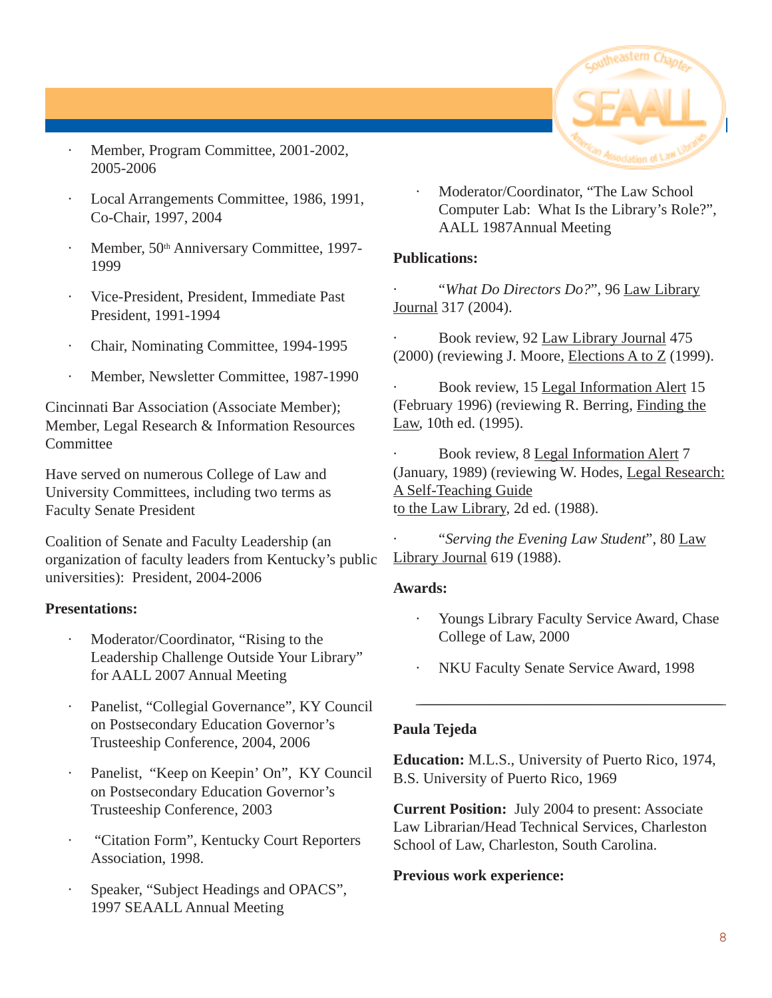

- · Member, Program Committee, 2001-2002, 2005-2006
- Local Arrangements Committee, 1986, 1991, Co-Chair, 1997, 2004
- Member, 50<sup>th</sup> Anniversary Committee, 1997-1999
- · Vice-President, President, Immediate Past President, 1991-1994
- · Chair, Nominating Committee, 1994-1995
- Member, Newsletter Committee, 1987-1990

Cincinnati Bar Association (Associate Member); Member, Legal Research & Information Resources **Committee** 

Have served on numerous College of Law and University Committees, including two terms as Faculty Senate President

Coalition of Senate and Faculty Leadership (an organization of faculty leaders from Kentucky's public universities): President, 2004-2006

#### **Presentations:**

- Moderator/Coordinator, "Rising to the Leadership Challenge Outside Your Library" for AALL 2007 Annual Meeting
- Panelist, "Collegial Governance", KY Council on Postsecondary Education Governor's Trusteeship Conference, 2004, 2006
- Panelist, "Keep on Keepin' On", KY Council on Postsecondary Education Governor's Trusteeship Conference, 2003
- · "Citation Form", Kentucky Court Reporters Association, 1998.
- Speaker, "Subject Headings and OPACS", 1997 SEAALL Annual Meeting

Moderator/Coordinator, "The Law School Computer Lab: What Is the Library's Role?", AALL 1987Annual Meeting

#### **Publications:**

· "*What Do Directors Do?*", 96 Law Library Journal 317 (2004).

Book review, 92 Law Library Journal 475 (2000) (reviewing J. Moore, Elections A to Z (1999).

Book review, 15 Legal Information Alert 15 (February 1996) (reviewing R. Berring, Finding the Law, 10th ed. (1995).

Book review, 8 Legal Information Alert 7 (January, 1989) (reviewing W. Hodes, Legal Research: A Self-Teaching Guide to the Law Library, 2d ed. (1988).

· "*Serving the Evening Law Student*", 80 Law Library Journal 619 (1988).

#### **Awards:**

Youngs Library Faculty Service Award, Chase College of Law, 2000

\_\_\_\_\_\_\_\_\_\_\_\_\_\_\_\_\_\_\_\_\_\_\_\_\_\_\_\_\_\_\_\_\_\_\_\_\_\_\_\_\_\_\_\_\_\_\_\_\_\_\_\_\_\_\_\_\_\_\_\_\_\_\_\_\_\_\_\_\_\_\_\_\_\_\_\_\_\_\_\_\_\_\_\_\_\_\_\_\_\_\_\_\_\_\_\_\_\_\_\_\_\_\_\_\_\_\_\_\_\_

NKU Faculty Senate Service Award, 1998

#### **Paula Tejeda**

**Education:** M.L.S., University of Puerto Rico, 1974, B.S. University of Puerto Rico, 1969

**Current Position:** July 2004 to present: Associate Law Librarian/Head Technical Services, Charleston School of Law, Charleston, South Carolina.

#### **Previous work experience:**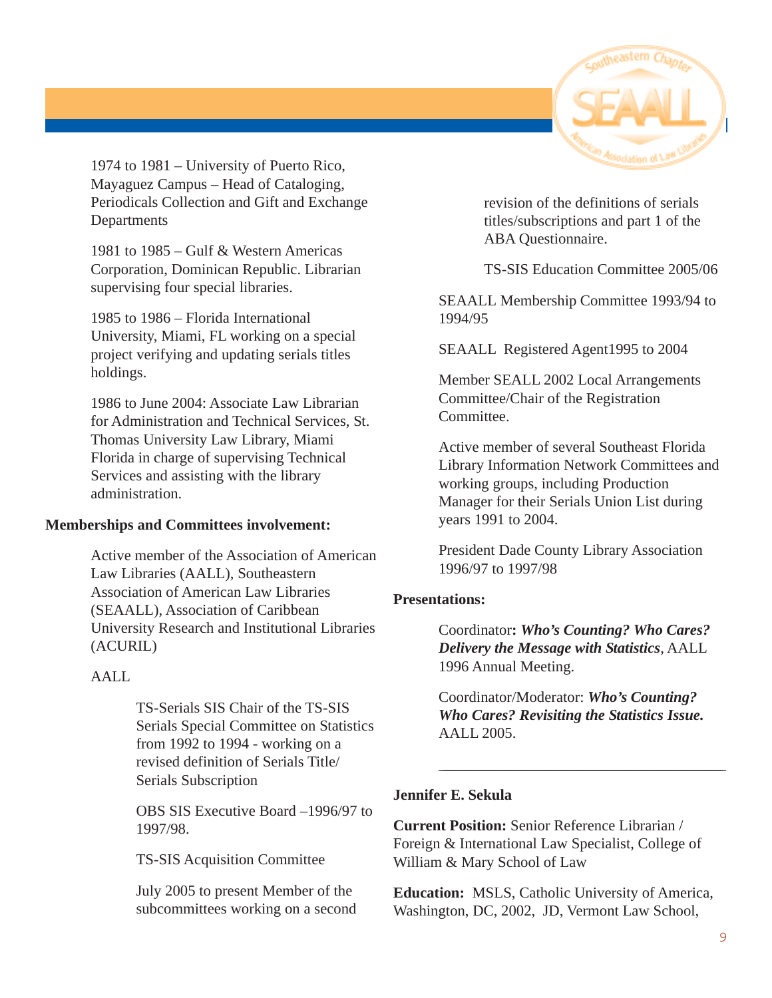

1974 to 1981 – University of Puerto Rico, Mayaguez Campus – Head of Cataloging, Periodicals Collection and Gift and Exchange **Departments** 

1981 to 1985 – Gulf & Western Americas Corporation, Dominican Republic. Librarian supervising four special libraries.

1985 to 1986 – Florida International University, Miami, FL working on a special project verifying and updating serials titles holdings.

1986 to June 2004: Associate Law Librarian for Administration and Technical Services, St. Thomas University Law Library, Miami Florida in charge of supervising Technical Services and assisting with the library administration.

#### **Memberships and Committees involvement:**

Active member of the Association of American Law Libraries (AALL), Southeastern Association of American Law Libraries (SEAALL), Association of Caribbean University Research and Institutional Libraries (ACURIL)

#### AALL

TS-Serials SIS Chair of the TS-SIS Serials Special Committee on Statistics from 1992 to 1994 - working on a revised definition of Serials Title/ Serials Subscription

OBS SIS Executive Board –1996/97 to 1997/98.

TS-SIS Acquisition Committee

July 2005 to present Member of the subcommittees working on a second revision of the definitions of serials titles/subscriptions and part 1 of the ABA Questionnaire.

TS-SIS Education Committee 2005/06

SEAALL Membership Committee 1993/94 to 1994/95

SEAALL Registered Agent1995 to 2004

Member SEALL 2002 Local Arrangements Committee/Chair of the Registration Committee.

Active member of several Southeast Florida Library Information Network Committees and working groups, including Production Manager for their Serials Union List during years 1991 to 2004.

President Dade County Library Association 1996/97 to 1997/98

#### **Presentations:**

Coordinator**:** *Who's Counting? Who Cares? Delivery the Message with Statistics*, AALL 1996 Annual Meeting.

Coordinator/Moderator: *Who's Counting? Who Cares? Revisiting the Statistics Issue.* AALL 2005.

\_\_\_\_\_\_\_\_\_\_\_\_\_\_\_\_\_\_\_\_\_\_\_\_\_\_\_\_\_\_\_\_\_\_\_\_\_\_\_\_\_\_\_\_\_\_\_\_\_\_\_\_\_\_\_\_\_\_\_\_\_\_\_\_\_\_\_\_\_\_\_\_\_\_\_\_\_\_\_\_\_\_\_\_\_\_\_\_\_\_\_\_\_\_\_\_\_\_\_\_\_\_\_\_\_\_\_

#### **Jennifer E. Sekula**

**Current Position:** Senior Reference Librarian / Foreign & International Law Specialist, College of William & Mary School of Law

**Education:** MSLS, Catholic University of America, Washington, DC, 2002, JD, Vermont Law School,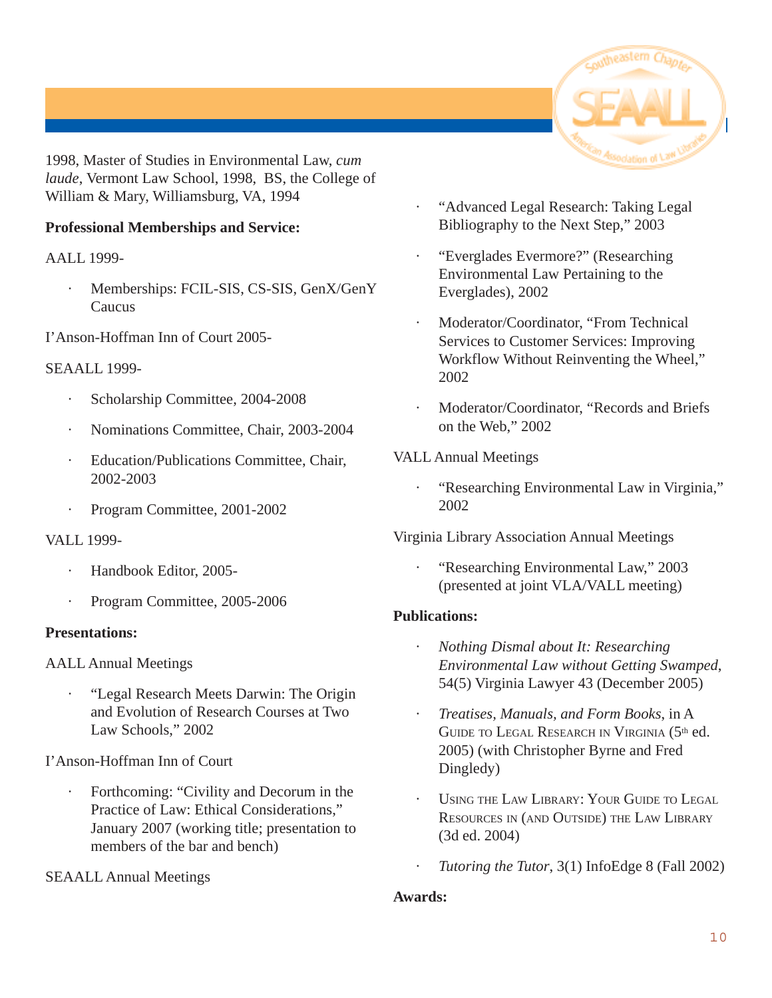

1998, Master of Studies in Environmental Law, *cum laude*, Vermont Law School, 1998, BS, the College of William & Mary, Williamsburg, VA, 1994

#### **Professional Memberships and Service:**

AALL 1999-

Memberships: FCIL-SIS, CS-SIS, GenX/GenY **Caucus** 

I'Anson-Hoffman Inn of Court 2005-

#### SEAALL 1999-

- Scholarship Committee, 2004-2008
- · Nominations Committee, Chair, 2003-2004
- Education/Publications Committee, Chair, 2002-2003
- Program Committee, 2001-2002

VALL 1999-

- Handbook Editor, 2005-
- Program Committee, 2005-2006

#### **Presentations:**

AALL Annual Meetings

· "Legal Research Meets Darwin: The Origin and Evolution of Research Courses at Two Law Schools," 2002

#### I'Anson-Hoffman Inn of Court

Forthcoming: "Civility and Decorum in the Practice of Law: Ethical Considerations," January 2007 (working title; presentation to members of the bar and bench)

#### SEAALL Annual Meetings

- · "Advanced Legal Research: Taking Legal Bibliography to the Next Step," 2003
- · "Everglades Evermore?" (Researching Environmental Law Pertaining to the Everglades), 2002
- Moderator/Coordinator, "From Technical Services to Customer Services: Improving Workflow Without Reinventing the Wheel," 2002
- Moderator/Coordinator, "Records and Briefs on the Web," 2002

#### VALL Annual Meetings

· "Researching Environmental Law in Virginia," 2002

Virginia Library Association Annual Meetings

· "Researching Environmental Law," 2003 (presented at joint VLA/VALL meeting)

#### **Publications:**

- · *Nothing Dismal about It: Researching Environmental Law without Getting Swamped*, 54(5) Virginia Lawyer 43 (December 2005)
- · *Treatises, Manuals, and Form Books*, in A GUIDE TO LEGAL RESEARCH IN VIRGINIA (5<sup>th</sup> ed. 2005) (with Christopher Byrne and Fred Dingledy)
- USING THE LAW LIBRARY: YOUR GUIDE TO LEGAL RESOURCES IN (AND OUTSIDE) THE LAW LIBRARY (3d ed. 2004)
- · *Tutoring the Tutor*, 3(1) InfoEdge 8 (Fall 2002)

#### **Awards:**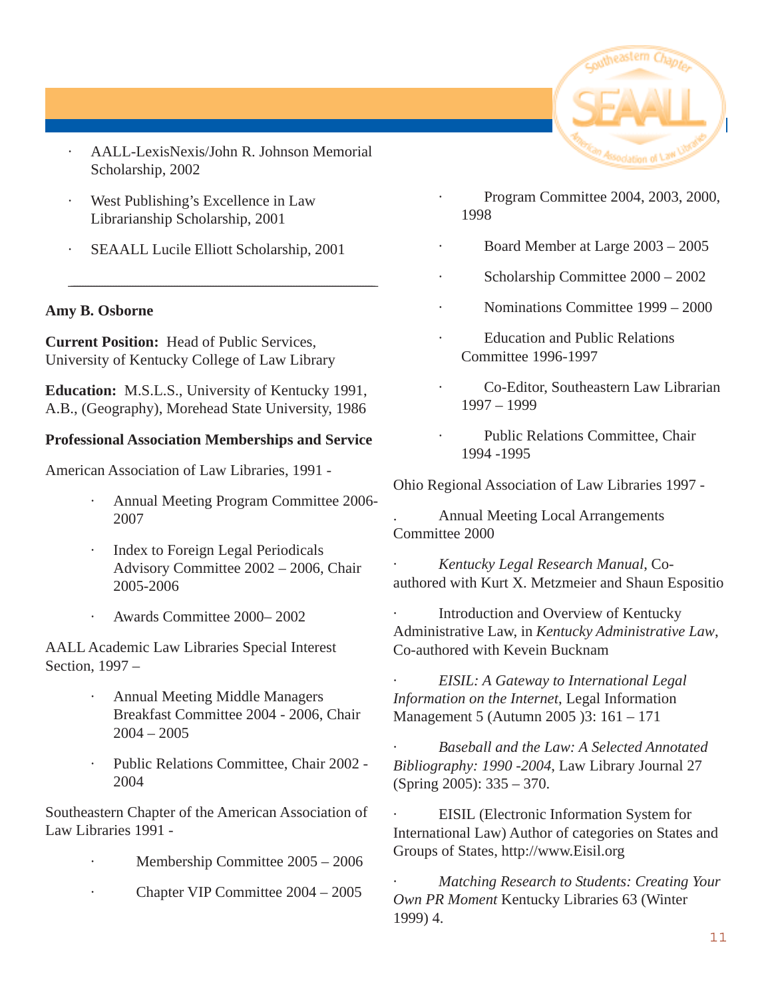- · AALL-LexisNexis/John R. Johnson Memorial Scholarship, 2002
- West Publishing's Excellence in Law Librarianship Scholarship, 2001
- SEAALL Lucile Elliott Scholarship, 2001

\_\_\_\_\_\_\_\_\_\_\_\_\_\_\_\_\_\_\_\_\_\_\_\_\_\_\_\_\_\_\_\_\_\_\_\_\_\_\_\_\_\_\_\_\_\_\_\_\_\_\_\_\_\_\_\_\_\_\_\_\_\_\_\_\_\_\_\_\_\_\_\_\_\_\_\_\_\_\_\_\_\_\_\_\_\_\_\_\_\_\_\_\_\_\_\_\_\_\_\_\_\_\_\_\_\_\_\_\_\_

#### **Amy B. Osborne**

**Current Position:** Head of Public Services, University of Kentucky College of Law Library

**Education:** M.S.L.S., University of Kentucky 1991, A.B., (Geography), Morehead State University, 1986

#### **Professional Association Memberships and Service**

American Association of Law Libraries, 1991 -

- · Annual Meeting Program Committee 2006- 2007
- · Index to Foreign Legal Periodicals Advisory Committee 2002 – 2006, Chair 2005-2006
- · Awards Committee 2000– 2002

AALL Academic Law Libraries Special Interest Section, 1997 –

- · Annual Meeting Middle Managers Breakfast Committee 2004 - 2006, Chair 2004 – 2005
- · Public Relations Committee, Chair 2002 2004

Southeastern Chapter of the American Association of Law Libraries 1991 -

- Membership Committee  $2005 2006$
- · Chapter VIP Committee 2004 2005



- · Program Committee 2004, 2003, 2000, 1998
- · Board Member at Large 2003 2005
- Scholarship Committee  $2000 2002$
- · Nominations Committee 1999 2000
- Education and Public Relations Committee 1996-1997
- · Co-Editor, Southeastern Law Librarian 1997 – 1999
- Public Relations Committee, Chair 1994 -1995

Ohio Regional Association of Law Libraries 1997 -

. Annual Meeting Local Arrangements Committee 2000

· *Kentucky Legal Research Manual*, Coauthored with Kurt X. Metzmeier and Shaun Espositio

Introduction and Overview of Kentucky Administrative Law, in *Kentucky Administrative Law*, Co-authored with Kevein Bucknam

· *EISIL: A Gateway to International Legal Information on the Internet*, Legal Information Management 5 (Autumn 2005 )3: 161 – 171

· *Baseball and the Law: A Selected Annotated Bibliography: 1990 -2004*, Law Library Journal 27 (Spring 2005): 335 – 370.

EISIL (Electronic Information System for International Law) Author of categories on States and Groups of States, http://www.Eisil.org

· *Matching Research to Students: Creating Your Own PR Moment* Kentucky Libraries 63 (Winter 1999) 4.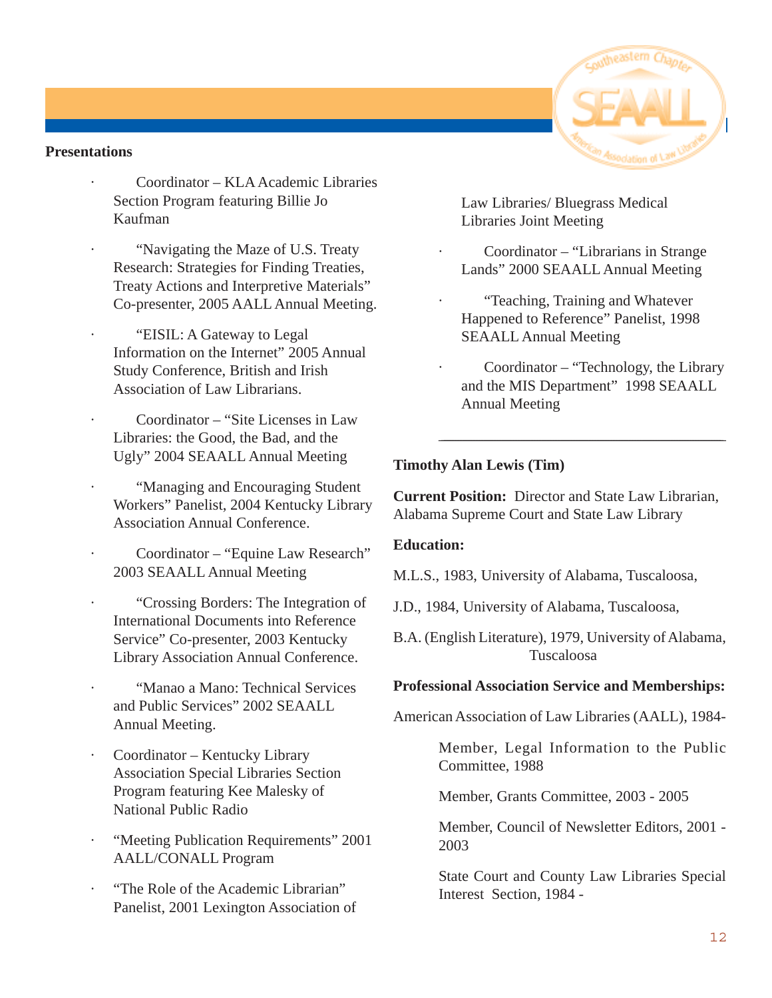#### **Presentations**

- · Coordinator KLA Academic Libraries Section Program featuring Billie Jo Kaufman
- · "Navigating the Maze of U.S. Treaty Research: Strategies for Finding Treaties, Treaty Actions and Interpretive Materials" Co-presenter, 2005 AALL Annual Meeting.
- · "EISIL: A Gateway to Legal Information on the Internet" 2005 Annual Study Conference, British and Irish Association of Law Librarians.
- · Coordinator "Site Licenses in Law Libraries: the Good, the Bad, and the Ugly" 2004 SEAALL Annual Meeting
- · "Managing and Encouraging Student Workers" Panelist, 2004 Kentucky Library Association Annual Conference.
- Coordinator "Equine Law Research" 2003 SEAALL Annual Meeting
- · "Crossing Borders: The Integration of International Documents into Reference Service" Co-presenter, 2003 Kentucky Library Association Annual Conference.
- · "Manao a Mano: Technical Services and Public Services" 2002 SEAALL Annual Meeting.
- Coordinator Kentucky Library Association Special Libraries Section Program featuring Kee Malesky of National Public Radio
- · "Meeting Publication Requirements" 2001 AALL/CONALL Program
- · "The Role of the Academic Librarian" Panelist, 2001 Lexington Association of

Law Libraries/ Bluegrass Medical Libraries Joint Meeting

- · Coordinator "Librarians in Strange Lands" 2000 SEAALL Annual Meeting
- · "Teaching, Training and Whatever Happened to Reference" Panelist, 1998 SEAALL Annual Meeting
- Coordinator "Technology, the Library and the MIS Department" 1998 SEAALL Annual Meeting

\_\_\_\_\_\_\_\_\_\_\_\_\_\_\_\_\_\_\_\_\_\_\_\_\_\_\_\_\_\_\_\_\_\_\_\_\_\_\_\_\_\_\_\_\_\_\_\_\_\_\_\_\_\_\_\_\_\_\_\_\_\_\_\_\_\_\_\_\_\_\_\_\_\_\_\_\_\_\_\_\_\_\_\_\_\_\_\_\_\_\_\_\_\_\_\_\_\_\_\_\_\_\_\_\_\_\_

#### **Timothy Alan Lewis (Tim)**

**Current Position:** Director and State Law Librarian, Alabama Supreme Court and State Law Library

#### **Education:**

M.L.S., 1983, University of Alabama, Tuscaloosa,

J.D., 1984, University of Alabama, Tuscaloosa,

B.A. (English Literature), 1979, University of Alabama, Tuscaloosa

#### **Professional Association Service and Memberships:**

American Association of Law Libraries (AALL), 1984-

Member, Legal Information to the Public Committee, 1988

Member, Grants Committee, 2003 - 2005

Member, Council of Newsletter Editors, 2001 - 2003

State Court and County Law Libraries Special Interest Section, 1984 -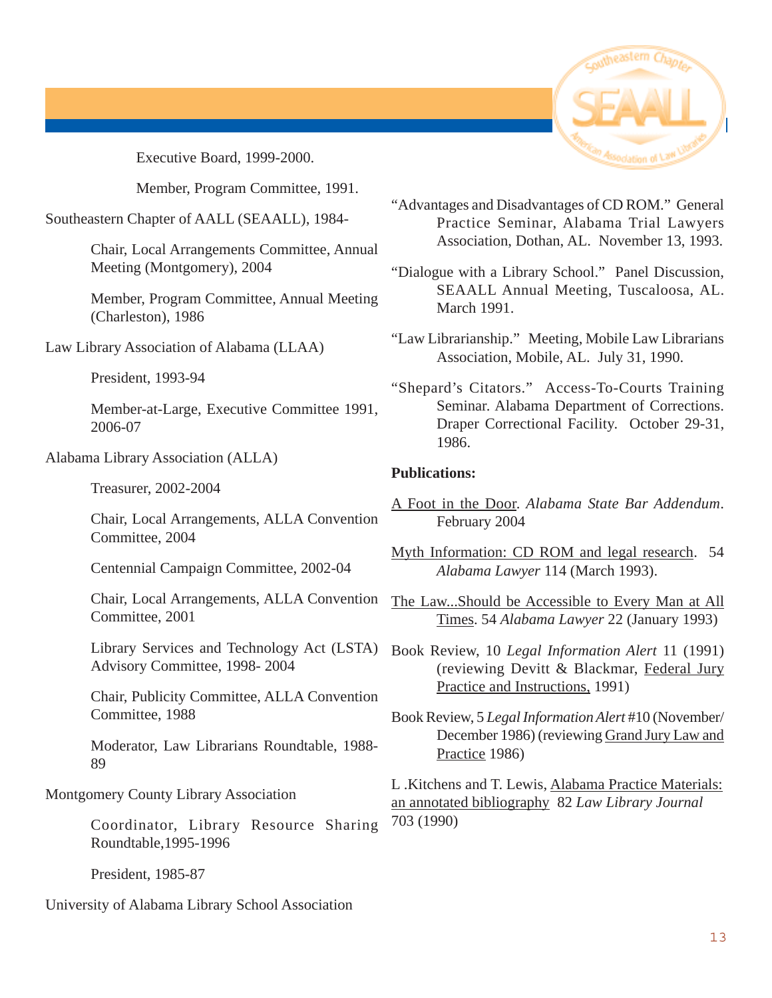

Executive Board, 1999-2000.

Member, Program Committee, 1991.

Southeastern Chapter of AALL (SEAALL), 1984-

Chair, Local Arrangements Committee, Annual Meeting (Montgomery), 2004

Member, Program Committee, Annual Meeting (Charleston), 1986

Law Library Association of Alabama (LLAA)

President, 1993-94

Member-at-Large, Executive Committee 1991, 2006-07

Alabama Library Association (ALLA)

Treasurer, 2002-2004

Chair, Local Arrangements, ALLA Convention Committee, 2004

Centennial Campaign Committee, 2002-04

Chair, Local Arrangements, ALLA Convention Committee, 2001

Library Services and Technology Act (LSTA) Advisory Committee, 1998- 2004

Chair, Publicity Committee, ALLA Convention Committee, 1988

Moderator, Law Librarians Roundtable, 1988- 89

Montgomery County Library Association

Coordinator, Library Resource Sharing Roundtable,1995-1996

President, 1985-87

University of Alabama Library School Association

- "Advantages and Disadvantages of CD ROM." General Practice Seminar, Alabama Trial Lawyers Association, Dothan, AL. November 13, 1993.
- "Dialogue with a Library School." Panel Discussion, SEAALL Annual Meeting, Tuscaloosa, AL. March 1991.
- "Law Librarianship." Meeting, Mobile Law Librarians Association, Mobile, AL. July 31, 1990.
- "Shepard's Citators." Access-To-Courts Training Seminar. Alabama Department of Corrections. Draper Correctional Facility. October 29-31, 1986.

#### **Publications:**

- A Foot in the Door. *Alabama State Bar Addendum*. February 2004
- Myth Information: CD ROM and legal research. 54 *Alabama Lawyer* 114 (March 1993).
- The Law...Should be Accessible to Every Man at All Times. 54 *Alabama Lawyer* 22 (January 1993)
- Book Review, 10 *Legal Information Alert* 11 (1991) (reviewing Devitt & Blackmar, Federal Jury Practice and Instructions, 1991)
- Book Review, 5 *Legal Information Alert* #10 (November/ December 1986) (reviewing Grand Jury Law and Practice 1986)

L .Kitchens and T. Lewis, Alabama Practice Materials: an annotated bibliography 82 *Law Library Journal* 703 (1990)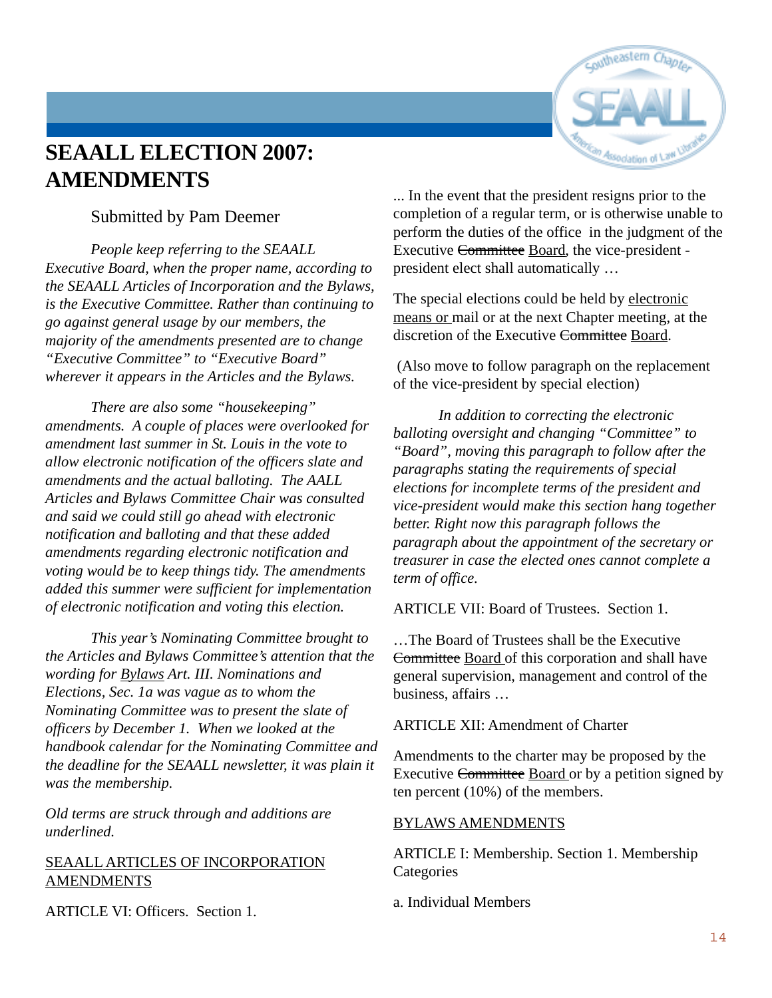

## **SEAALL ELECTION 2007: AMENDMENTS**

#### Submitted by Pam Deemer

*People keep referring to the SEAALL Executive Board, when the proper name, according to the SEAALL Articles of Incorporation and the Bylaws, is the Executive Committee. Rather than continuing to go against general usage by our members, the majority of the amendments presented are to change "Executive Committee" to "Executive Board" wherever it appears in the Articles and the Bylaws.*

*There are also some "housekeeping" amendments. A couple of places were overlooked for amendment last summer in St. Louis in the vote to allow electronic notification of the officers slate and amendments and the actual balloting. The AALL Articles and Bylaws Committee Chair was consulted and said we could still go ahead with electronic notification and balloting and that these added amendments regarding electronic notification and voting would be to keep things tidy. The amendments added this summer were sufficient for implementation of electronic notification and voting this election.*

*This year's Nominating Committee brought to the Articles and Bylaws Committee's attention that the wording for Bylaws Art. III. Nominations and Elections, Sec. 1a was vague as to whom the Nominating Committee was to present the slate of officers by December 1. When we looked at the handbook calendar for the Nominating Committee and the deadline for the SEAALL newsletter, it was plain it was the membership.*

*Old terms are struck through and additions are underlined.*

#### SEAALL ARTICLES OF INCORPORATION **AMENDMENTS**

ARTICLE VI: Officers. Section 1.

... In the event that the president resigns prior to the completion of a regular term, or is otherwise unable to perform the duties of the office in the judgment of the Executive Committee Board, the vice-president president elect shall automatically …

The special elections could be held by electronic means or mail or at the next Chapter meeting, at the discretion of the Executive Committee Board.

 (Also move to follow paragraph on the replacement of the vice-president by special election)

*In addition to correcting the electronic balloting oversight and changing "Committee" to "Board", moving this paragraph to follow after the paragraphs stating the requirements of special elections for incomplete terms of the president and vice-president would make this section hang together better. Right now this paragraph follows the paragraph about the appointment of the secretary or treasurer in case the elected ones cannot complete a term of office.*

ARTICLE VII: Board of Trustees. Section 1.

…The Board of Trustees shall be the Executive Committee Board of this corporation and shall have general supervision, management and control of the business, affairs …

ARTICLE XII: Amendment of Charter

Amendments to the charter may be proposed by the Executive Committee Board or by a petition signed by ten percent (10%) of the members.

#### BYLAWS AMENDMENTS

ARTICLE I: Membership. Section 1. Membership **Categories** 

a. Individual Members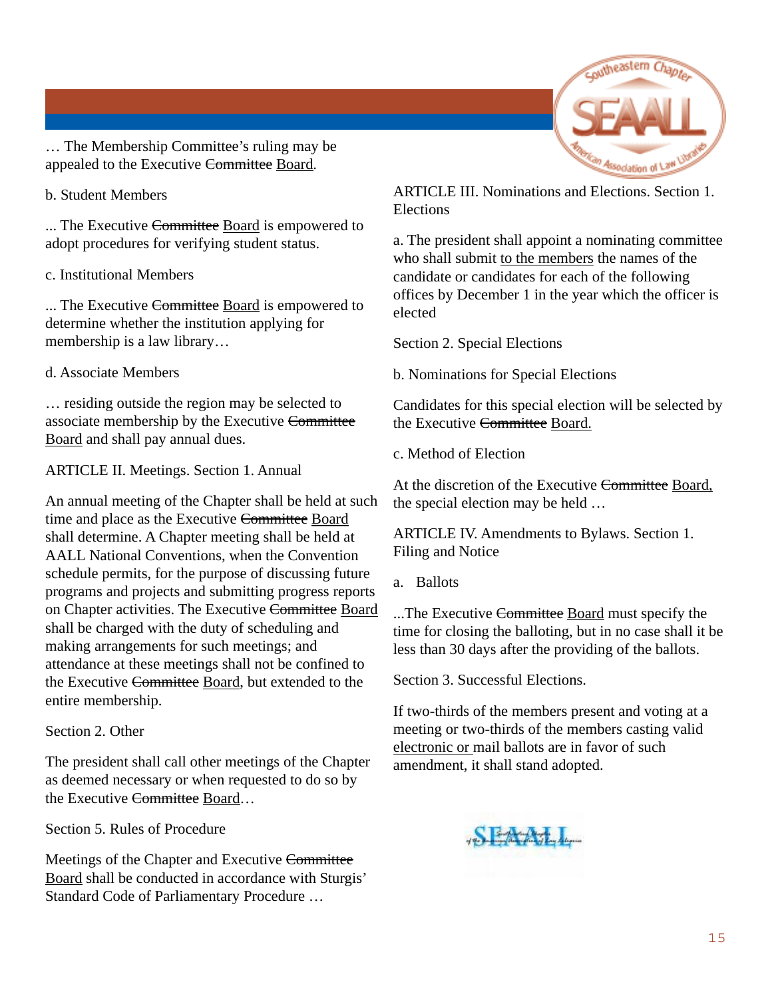

… The Membership Committee's ruling may be appealed to the Executive Committee Board.

#### b. Student Members

... The Executive Committee Board is empowered to adopt procedures for verifying student status.

#### c. Institutional Members

... The Executive Committee Board is empowered to determine whether the institution applying for membership is a law library…

#### d. Associate Members

… residing outside the region may be selected to associate membership by the Executive Committee Board and shall pay annual dues.

#### ARTICLE II. Meetings. Section 1. Annual

An annual meeting of the Chapter shall be held at such time and place as the Executive Committee Board shall determine. A Chapter meeting shall be held at AALL National Conventions, when the Convention schedule permits, for the purpose of discussing future programs and projects and submitting progress reports on Chapter activities. The Executive Committee Board shall be charged with the duty of scheduling and making arrangements for such meetings; and attendance at these meetings shall not be confined to the Executive Committee Board, but extended to the entire membership.

#### Section 2. Other

The president shall call other meetings of the Chapter as deemed necessary or when requested to do so by the Executive Committee Board...

Section 5. Rules of Procedure

Meetings of the Chapter and Executive Committee Board shall be conducted in accordance with Sturgis' Standard Code of Parliamentary Procedure …

ARTICLE III. Nominations and Elections. Section 1. Elections

a. The president shall appoint a nominating committee who shall submit to the members the names of the candidate or candidates for each of the following offices by December 1 in the year which the officer is elected

Section 2. Special Elections

b. Nominations for Special Elections

Candidates for this special election will be selected by the Executive Committee Board.

c. Method of Election

At the discretion of the Executive Committee Board, the special election may be held …

ARTICLE IV. Amendments to Bylaws. Section 1. Filing and Notice

a. Ballots

...The Executive Committee Board must specify the time for closing the balloting, but in no case shall it be less than 30 days after the providing of the ballots.

Section 3. Successful Elections.

If two-thirds of the members present and voting at a meeting or two-thirds of the members casting valid electronic or mail ballots are in favor of such amendment, it shall stand adopted.

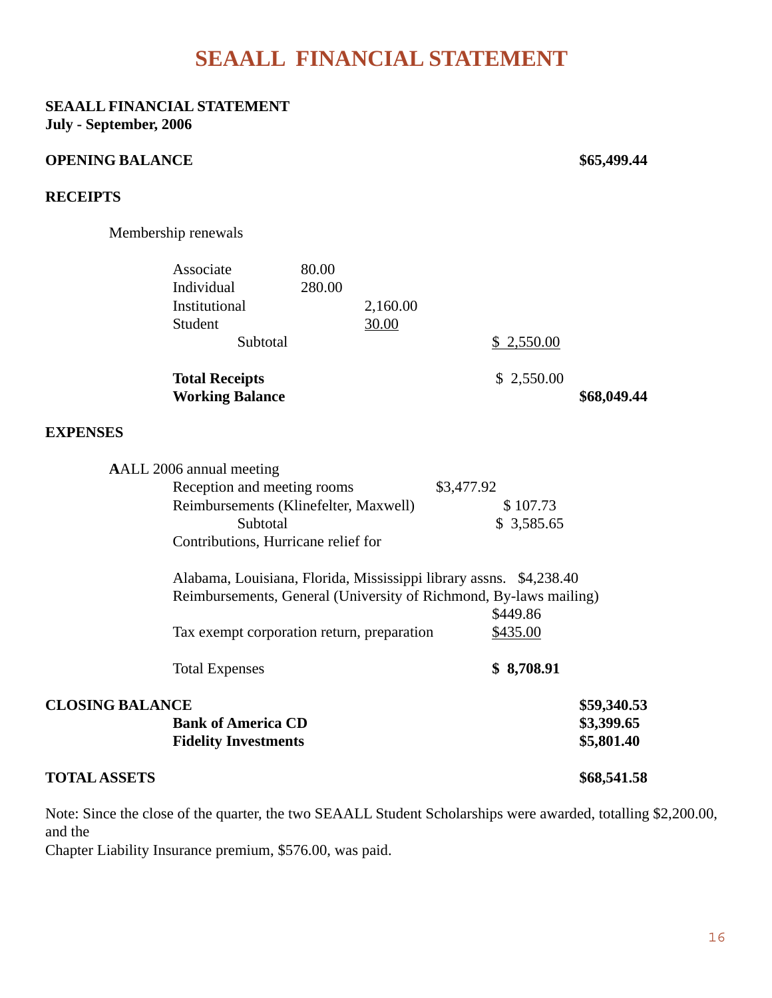## **SEAALL FINANCIAL STATEMENT**

#### **SEAALL FINANCIAL STATEMENT July - September, 2006**

#### **OPENING BALANCE \$65,499.44**

#### **RECEIPTS**

Membership renewals

|                        | Associate<br>Individual<br>Institutional<br>Student<br>Subtotal                                                                                     | 80.00<br>280.00 | 2,160.00<br>30.00 |            | \$2,550.00             |                                         |  |
|------------------------|-----------------------------------------------------------------------------------------------------------------------------------------------------|-----------------|-------------------|------------|------------------------|-----------------------------------------|--|
|                        | <b>Total Receipts</b><br><b>Working Balance</b>                                                                                                     |                 |                   |            | \$2,550.00             | \$68,049.44                             |  |
| <b>EXPENSES</b>        |                                                                                                                                                     |                 |                   |            |                        |                                         |  |
|                        | AALL 2006 annual meeting<br>Reception and meeting rooms<br>Reimbursements (Klinefelter, Maxwell)<br>Subtotal<br>Contributions, Hurricane relief for |                 |                   | \$3,477.92 | \$107.73<br>\$3,585.65 |                                         |  |
|                        | Alabama, Louisiana, Florida, Mississippi library assns. \$4,238.40<br>Reimbursements, General (University of Richmond, By-laws mailing)<br>\$449.86 |                 |                   |            |                        |                                         |  |
|                        | Tax exempt corporation return, preparation                                                                                                          |                 |                   |            | \$435.00               |                                         |  |
|                        | <b>Total Expenses</b>                                                                                                                               |                 |                   |            | \$8,708.91             |                                         |  |
| <b>CLOSING BALANCE</b> | <b>Bank of America CD</b><br><b>Fidelity Investments</b>                                                                                            |                 |                   |            |                        | \$59,340.53<br>\$3,399.65<br>\$5,801.40 |  |
| <b>TOTAL ASSETS</b>    |                                                                                                                                                     |                 |                   |            |                        | \$68,541.58                             |  |

Note: Since the close of the quarter, the two SEAALL Student Scholarships were awarded, totalling \$2,200.00, and the

Chapter Liability Insurance premium, \$576.00, was paid.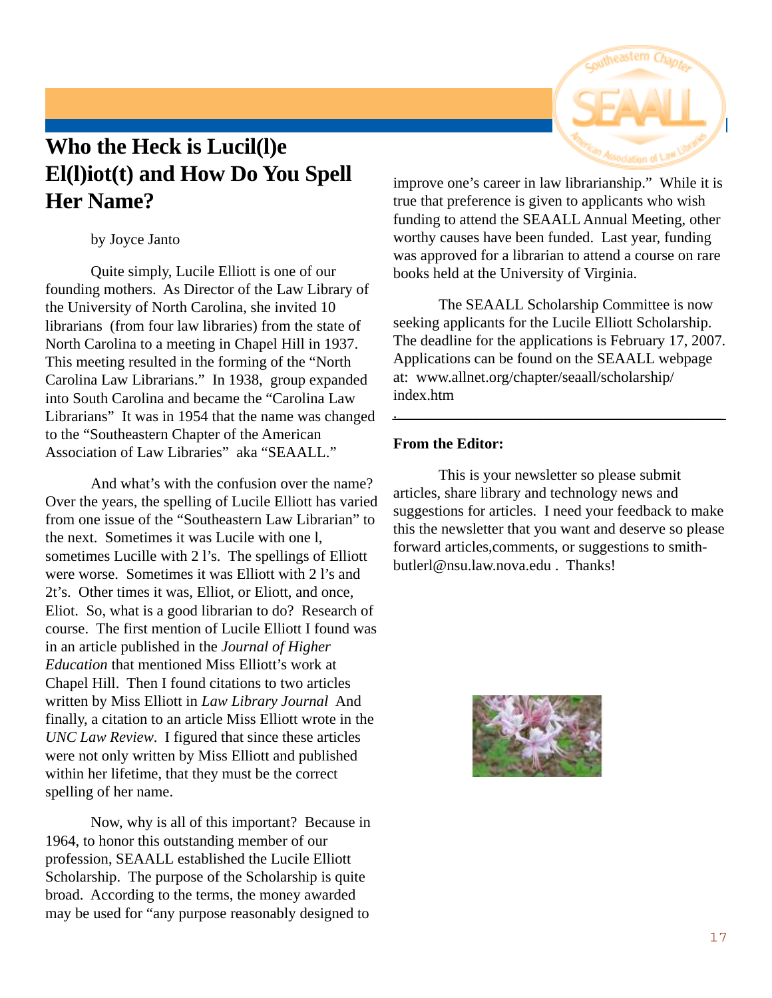# **Who the Heck is Lucil(l)e El(l)iot(t) and How Do You Spell Her Name?**

by Joyce Janto

Quite simply, Lucile Elliott is one of our founding mothers. As Director of the Law Library of the University of North Carolina, she invited 10 librarians (from four law libraries) from the state of North Carolina to a meeting in Chapel Hill in 1937. This meeting resulted in the forming of the "North Carolina Law Librarians." In 1938, group expanded into South Carolina and became the "Carolina Law Librarians" It was in 1954 that the name was changed to the "Southeastern Chapter of the American Association of Law Libraries" aka "SEAALL."

And what's with the confusion over the name? Over the years, the spelling of Lucile Elliott has varied from one issue of the "Southeastern Law Librarian" to the next. Sometimes it was Lucile with one l, sometimes Lucille with 2 l's. The spellings of Elliott were worse. Sometimes it was Elliott with 2 l's and 2t's. Other times it was, Elliot, or Eliott, and once, Eliot. So, what is a good librarian to do? Research of course. The first mention of Lucile Elliott I found was in an article published in the *Journal of Higher Education* that mentioned Miss Elliott's work at Chapel Hill. Then I found citations to two articles written by Miss Elliott in *Law Library Journal* And finally, a citation to an article Miss Elliott wrote in the *UNC Law Review*. I figured that since these articles were not only written by Miss Elliott and published within her lifetime, that they must be the correct spelling of her name.

Now, why is all of this important? Because in 1964, to honor this outstanding member of our profession, SEAALL established the Lucile Elliott Scholarship. The purpose of the Scholarship is quite broad. According to the terms, the money awarded may be used for "any purpose reasonably designed to

improve one's career in law librarianship." While it is true that preference is given to applicants who wish funding to attend the SEAALL Annual Meeting, other worthy causes have been funded. Last year, funding was approved for a librarian to attend a course on rare books held at the University of Virginia.

The SEAALL Scholarship Committee is now seeking applicants for the Lucile Elliott Scholarship. The deadline for the applications is February 17, 2007. Applications can be found on the SEAALL webpage at: www.allnet.org/chapter/seaall/scholarship/ index.htm

 $\overline{\phantom{a}}$  .  $\overline{\phantom{a}}$  .  $\overline{\phantom{a}}$  .  $\overline{\phantom{a}}$  .  $\overline{\phantom{a}}$  .  $\overline{\phantom{a}}$  .  $\overline{\phantom{a}}$  .  $\overline{\phantom{a}}$  .  $\overline{\phantom{a}}$  .  $\overline{\phantom{a}}$  .  $\overline{\phantom{a}}$  .  $\overline{\phantom{a}}$  .  $\overline{\phantom{a}}$  .  $\overline{\phantom{a}}$  .  $\overline{\phantom{a}}$  .  $\overline{\phantom{a}}$ 

#### **From the Editor:**

This is your newsletter so please submit articles, share library and technology news and suggestions for articles. I need your feedback to make this the newsletter that you want and deserve so please forward articles,comments, or suggestions to smithbutlerl@nsu.law.nova.edu . Thanks!

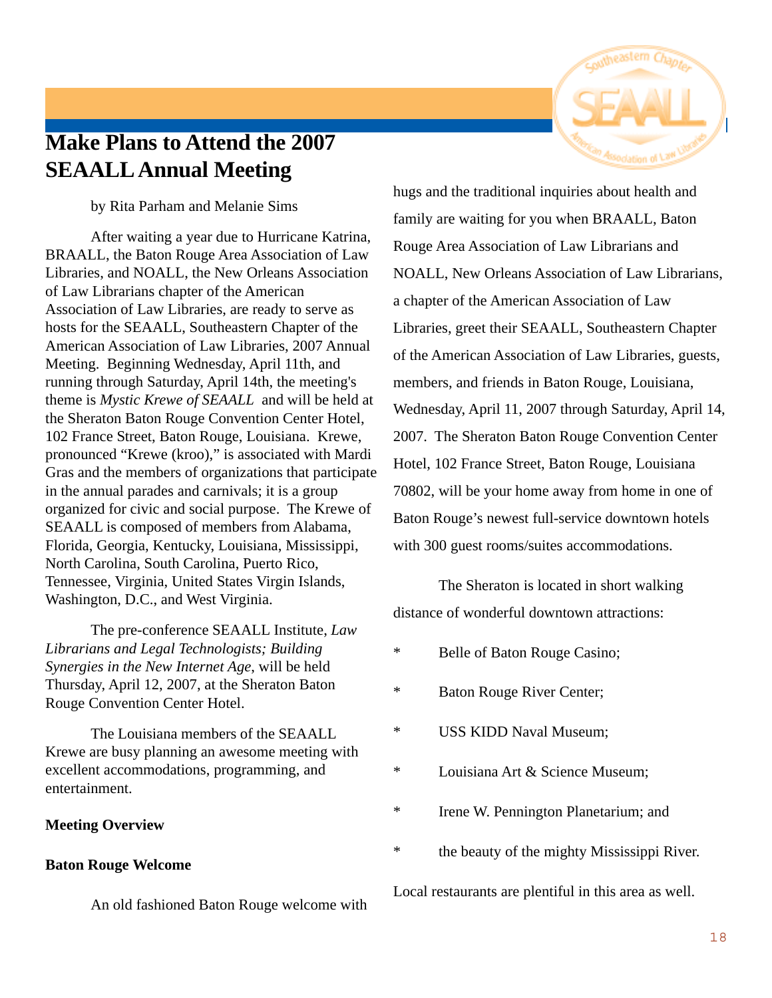

## **Make Plans to Attend the 2007 SEAALL Annual Meeting**

by Rita Parham and Melanie Sims

After waiting a year due to Hurricane Katrina, BRAALL, the Baton Rouge Area Association of Law Libraries, and NOALL, the New Orleans Association of Law Librarians chapter of the American Association of Law Libraries, are ready to serve as hosts for the SEAALL, Southeastern Chapter of the American Association of Law Libraries, 2007 Annual Meeting. Beginning Wednesday, April 11th, and running through Saturday, April 14th, the meeting's theme is *Mystic Krewe of SEAALL* and will be held at the Sheraton Baton Rouge Convention Center Hotel, 102 France Street, Baton Rouge, Louisiana. Krewe, pronounced "Krewe (kroo)," is associated with Mardi Gras and the members of organizations that participate in the annual parades and carnivals; it is a group organized for civic and social purpose. The Krewe of SEAALL is composed of members from Alabama, Florida, Georgia, Kentucky, Louisiana, Mississippi, North Carolina, South Carolina, Puerto Rico, Tennessee, Virginia, United States Virgin Islands, Washington, D.C., and West Virginia.

The pre-conference SEAALL Institute, *Law Librarians and Legal Technologists; Building Synergies in the New Internet Age*, will be held Thursday, April 12, 2007, at the Sheraton Baton Rouge Convention Center Hotel.

The Louisiana members of the SEAALL Krewe are busy planning an awesome meeting with excellent accommodations, programming, and entertainment.

#### **Meeting Overview**

#### **Baton Rouge Welcome**

An old fashioned Baton Rouge welcome with

hugs and the traditional inquiries about health and family are waiting for you when BRAALL, Baton Rouge Area Association of Law Librarians and NOALL, New Orleans Association of Law Librarians, a chapter of the American Association of Law Libraries, greet their SEAALL, Southeastern Chapter of the American Association of Law Libraries, guests, members, and friends in Baton Rouge, Louisiana, Wednesday, April 11, 2007 through Saturday, April 14, 2007. The Sheraton Baton Rouge Convention Center Hotel, 102 France Street, Baton Rouge, Louisiana 70802, will be your home away from home in one of Baton Rouge's newest full-service downtown hotels with 300 guest rooms/suites accommodations.

The Sheraton is located in short walking distance of wonderful downtown attractions:

- \* Belle of Baton Rouge Casino;
- \* Baton Rouge River Center;
- \* USS KIDD Naval Museum;
- \* Louisiana Art & Science Museum;
- \* Irene W. Pennington Planetarium; and
- \* the beauty of the mighty Mississippi River.

Local restaurants are plentiful in this area as well.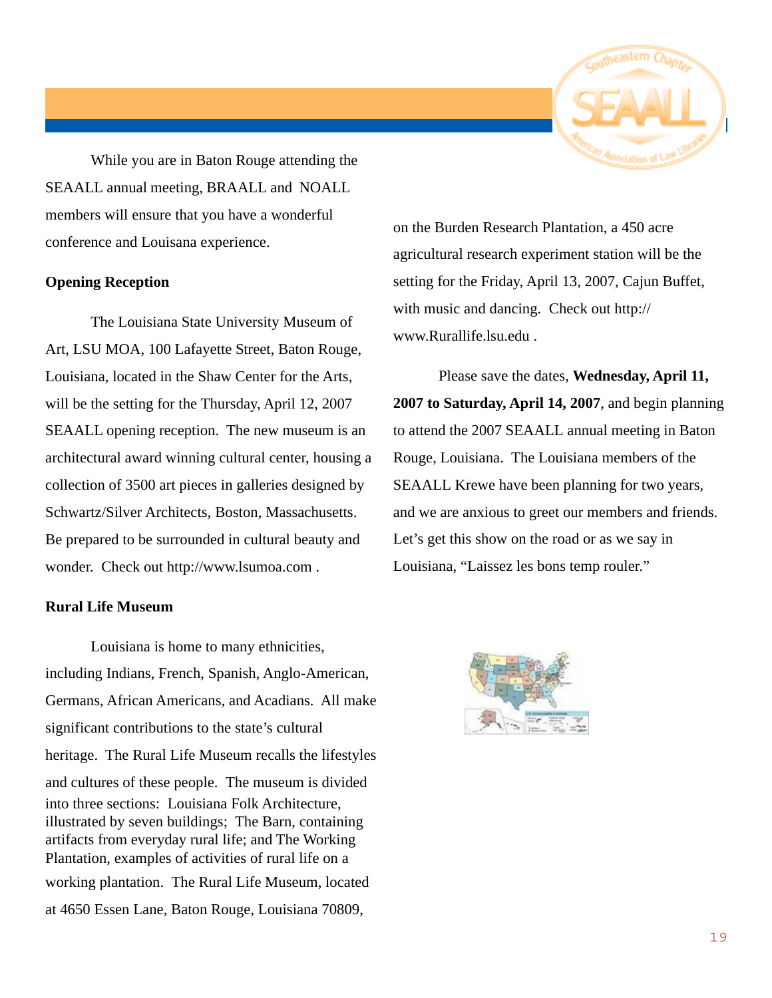

While you are in Baton Rouge attending the SEAALL annual meeting, BRAALL and NOALL members will ensure that you have a wonderful conference and Louisana experience.

#### **Opening Reception**

The Louisiana State University Museum of Art, LSU MOA, 100 Lafayette Street, Baton Rouge, Louisiana, located in the Shaw Center for the Arts, will be the setting for the Thursday, April 12, 2007 SEAALL opening reception. The new museum is an architectural award winning cultural center, housing a collection of 3500 art pieces in galleries designed by Schwartz/Silver Architects, Boston, Massachusetts. Be prepared to be surrounded in cultural beauty and wonder. Check out http://www.lsumoa.com .

#### **Rural Life Museum**

Louisiana is home to many ethnicities, including Indians, French, Spanish, Anglo-American, Germans, African Americans, and Acadians. All make significant contributions to the state's cultural heritage. The Rural Life Museum recalls the lifestyles and cultures of these people. The museum is divided into three sections: Louisiana Folk Architecture, illustrated by seven buildings; The Barn, containing artifacts from everyday rural life; and The Working Plantation, examples of activities of rural life on a working plantation. The Rural Life Museum, located at 4650 Essen Lane, Baton Rouge, Louisiana 70809,

on the Burden Research Plantation, a 450 acre agricultural research experiment station will be the setting for the Friday, April 13, 2007, Cajun Buffet, with music and dancing. Check out http:// www.Rurallife.lsu.edu .

Please save the dates, **Wednesday, April 11, 2007 to Saturday, April 14, 2007**, and begin planning to attend the 2007 SEAALL annual meeting in Baton Rouge, Louisiana. The Louisiana members of the SEAALL Krewe have been planning for two years, and we are anxious to greet our members and friends. Let's get this show on the road or as we say in Louisiana, "Laissez les bons temp rouler."

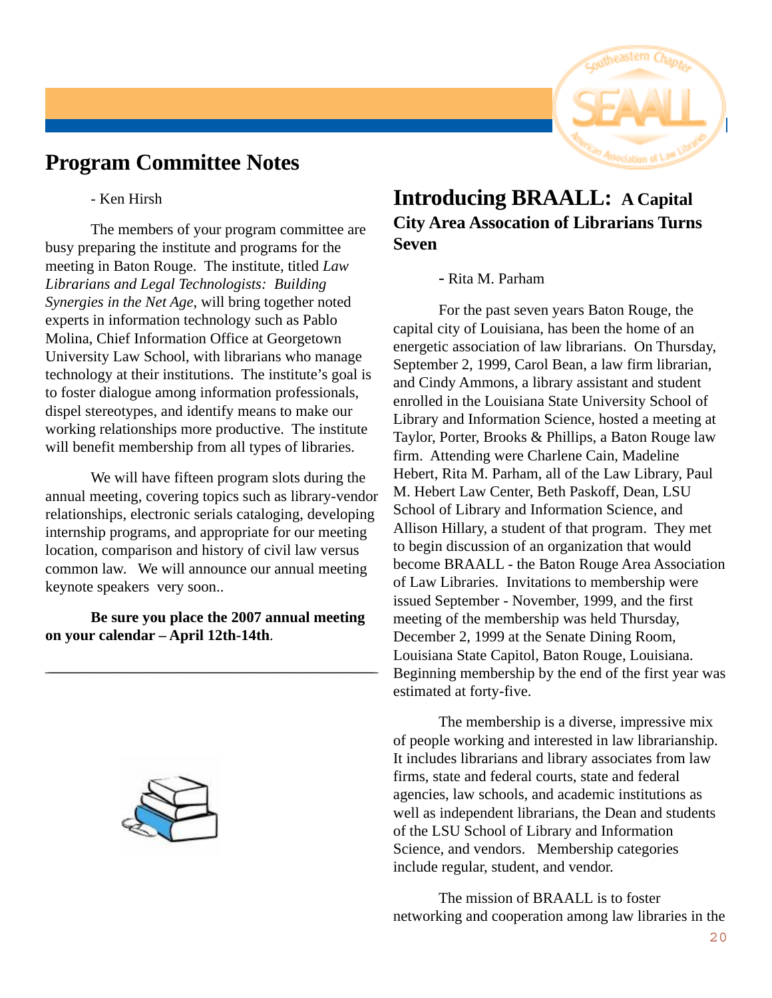## **Program Committee Notes**

- Ken Hirsh

The members of your program committee are busy preparing the institute and programs for the meeting in Baton Rouge. The institute, titled *Law Librarians and Legal Technologists: Building Synergies in the Net Age*, will bring together noted experts in information technology such as Pablo Molina, Chief Information Office at Georgetown University Law School, with librarians who manage technology at their institutions. The institute's goal is to foster dialogue among information professionals, dispel stereotypes, and identify means to make our working relationships more productive. The institute will benefit membership from all types of libraries.

We will have fifteen program slots during the annual meeting, covering topics such as library-vendor relationships, electronic serials cataloging, developing internship programs, and appropriate for our meeting location, comparison and history of civil law versus common law. We will announce our annual meeting keynote speakers very soon..

**Be sure you place the 2007 annual meeting on your calendar – April 12th-14th**.

\_\_\_\_\_\_\_\_\_\_\_\_\_\_\_\_\_\_\_\_\_\_\_\_\_\_\_\_\_\_\_\_\_\_\_\_\_\_\_\_\_\_\_\_\_\_\_\_\_\_\_\_\_\_\_\_\_\_\_\_\_\_\_\_\_\_\_\_\_\_\_\_\_\_\_\_\_\_\_\_\_\_\_\_\_\_\_\_\_\_\_\_\_\_\_\_\_\_\_\_\_\_\_\_\_\_\_\_\_\_\_\_\_



## **Introducing BRAALL: A Capital City Area Assocation of Librarians Turns Seven**

#### - Rita M. Parham

For the past seven years Baton Rouge, the capital city of Louisiana, has been the home of an energetic association of law librarians. On Thursday, September 2, 1999, Carol Bean, a law firm librarian, and Cindy Ammons, a library assistant and student enrolled in the Louisiana State University School of Library and Information Science, hosted a meeting at Taylor, Porter, Brooks & Phillips, a Baton Rouge law firm. Attending were Charlene Cain, Madeline Hebert, Rita M. Parham, all of the Law Library, Paul M. Hebert Law Center, Beth Paskoff, Dean, LSU School of Library and Information Science, and Allison Hillary, a student of that program. They met to begin discussion of an organization that would become BRAALL - the Baton Rouge Area Association of Law Libraries. Invitations to membership were issued September - November, 1999, and the first meeting of the membership was held Thursday, December 2, 1999 at the Senate Dining Room, Louisiana State Capitol, Baton Rouge, Louisiana. Beginning membership by the end of the first year was estimated at forty-five.

The membership is a diverse, impressive mix of people working and interested in law librarianship. It includes librarians and library associates from law firms, state and federal courts, state and federal agencies, law schools, and academic institutions as well as independent librarians, the Dean and students of the LSU School of Library and Information Science, and vendors. Membership categories include regular, student, and vendor.

The mission of BRAALL is to foster networking and cooperation among law libraries in the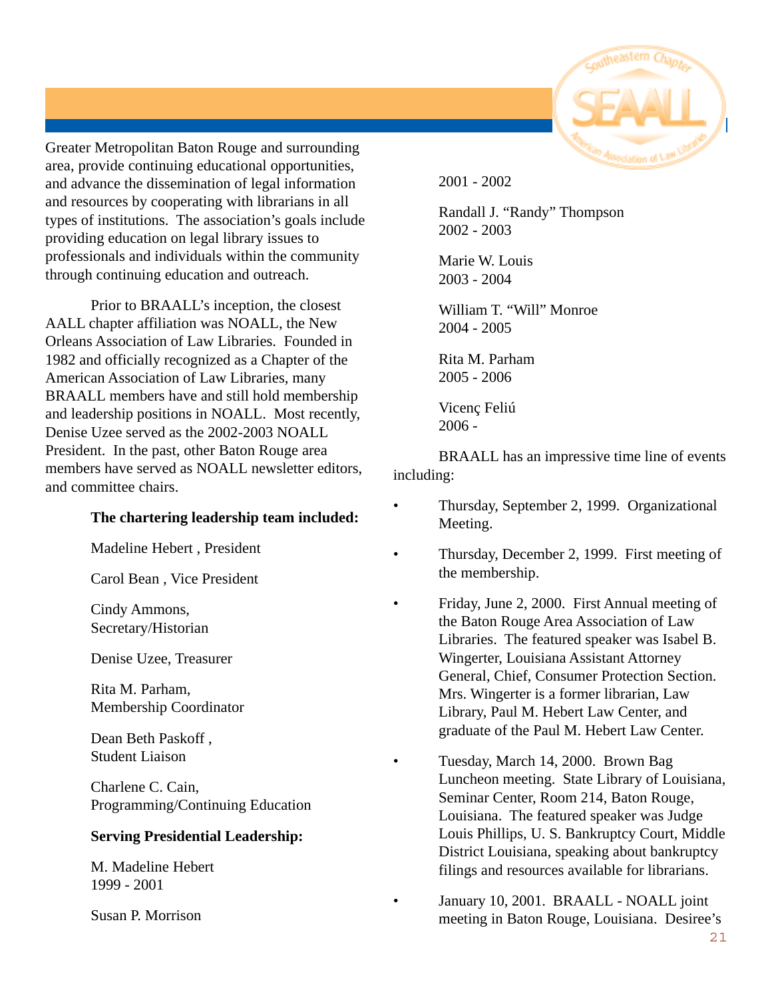

Greater Metropolitan Baton Rouge and surrounding area, provide continuing educational opportunities, and advance the dissemination of legal information and resources by cooperating with librarians in all types of institutions. The association's goals include providing education on legal library issues to professionals and individuals within the community through continuing education and outreach.

Prior to BRAALL's inception, the closest AALL chapter affiliation was NOALL, the New Orleans Association of Law Libraries. Founded in 1982 and officially recognized as a Chapter of the American Association of Law Libraries, many BRAALL members have and still hold membership and leadership positions in NOALL. Most recently, Denise Uzee served as the 2002-2003 NOALL President. In the past, other Baton Rouge area members have served as NOALL newsletter editors, and committee chairs.

#### **The chartering leadership team included:**

Madeline Hebert , President

Carol Bean , Vice President

Cindy Ammons, Secretary/Historian

Denise Uzee, Treasurer

Rita M. Parham, Membership Coordinator

Dean Beth Paskoff , Student Liaison

Charlene C. Cain, Programming/Continuing Education

#### **Serving Presidential Leadership:**

M. Madeline Hebert 1999 - 2001

Susan P. Morrison

2001 - 2002

Randall J. "Randy" Thompson 2002 - 2003

Marie W. Louis 2003 - 2004

William T. "Will" Monroe 2004 - 2005

Rita M. Parham 2005 - 2006

Vicenç Feliú 2006 -

BRAALL has an impressive time line of events including:

- Thursday, September 2, 1999. Organizational Meeting.
- Thursday, December 2, 1999. First meeting of the membership.
- Friday, June 2, 2000. First Annual meeting of the Baton Rouge Area Association of Law Libraries. The featured speaker was Isabel B. Wingerter, Louisiana Assistant Attorney General, Chief, Consumer Protection Section. Mrs. Wingerter is a former librarian, Law Library, Paul M. Hebert Law Center, and graduate of the Paul M. Hebert Law Center.
- Tuesday, March 14, 2000. Brown Bag Luncheon meeting. State Library of Louisiana, Seminar Center, Room 214, Baton Rouge, Louisiana. The featured speaker was Judge Louis Phillips, U. S. Bankruptcy Court, Middle District Louisiana, speaking about bankruptcy filings and resources available for librarians.
- January 10, 2001. BRAALL NOALL joint meeting in Baton Rouge, Louisiana. Desiree's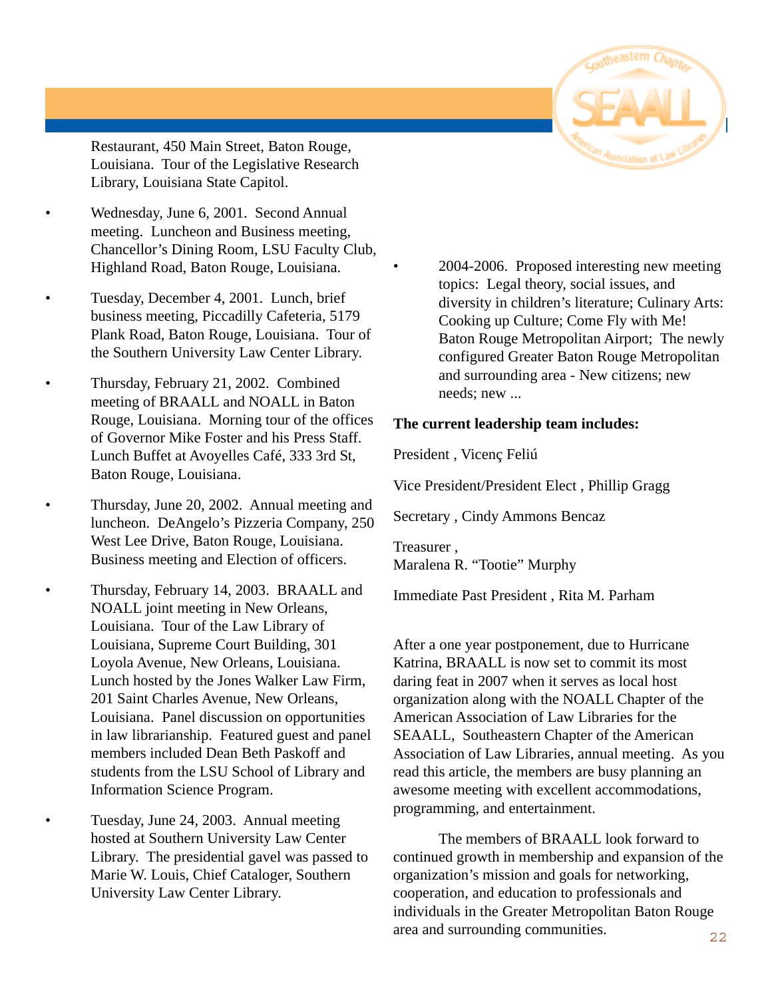Restaurant, 450 Main Street, Baton Rouge, Louisiana. Tour of the Legislative Research Library, Louisiana State Capitol.

- Wednesday, June 6, 2001. Second Annual meeting. Luncheon and Business meeting, Chancellor's Dining Room, LSU Faculty Club, Highland Road, Baton Rouge, Louisiana.
	- Tuesday, December 4, 2001. Lunch, brief business meeting, Piccadilly Cafeteria, 5179 Plank Road, Baton Rouge, Louisiana. Tour of the Southern University Law Center Library.
	- Thursday, February 21, 2002. Combined meeting of BRAALL and NOALL in Baton Rouge, Louisiana. Morning tour of the offices of Governor Mike Foster and his Press Staff. Lunch Buffet at Avoyelles Café, 333 3rd St, Baton Rouge, Louisiana.
	- Thursday, June 20, 2002. Annual meeting and luncheon. DeAngelo's Pizzeria Company, 250 West Lee Drive, Baton Rouge, Louisiana. Business meeting and Election of officers.
	- Thursday, February 14, 2003. BRAALL and NOALL joint meeting in New Orleans, Louisiana. Tour of the Law Library of Louisiana, Supreme Court Building, 301 Loyola Avenue, New Orleans, Louisiana. Lunch hosted by the Jones Walker Law Firm, 201 Saint Charles Avenue, New Orleans, Louisiana. Panel discussion on opportunities in law librarianship. Featured guest and panel members included Dean Beth Paskoff and students from the LSU School of Library and Information Science Program.

• Tuesday, June 24, 2003. Annual meeting hosted at Southern University Law Center Library. The presidential gavel was passed to Marie W. Louis, Chief Cataloger, Southern University Law Center Library.

• 2004-2006. Proposed interesting new meeting topics: Legal theory, social issues, and diversity in children's literature; Culinary Arts: Cooking up Culture; Come Fly with Me! Baton Rouge Metropolitan Airport; The newly configured Greater Baton Rouge Metropolitan and surrounding area - New citizens; new needs; new ...

#### **The current leadership team includes:**

President , Vicenç Feliú

Vice President/President Elect , Phillip Gragg

Secretary , Cindy Ammons Bencaz

Treasurer , Maralena R. "Tootie" Murphy

Immediate Past President , Rita M. Parham

After a one year postponement, due to Hurricane Katrina, BRAALL is now set to commit its most daring feat in 2007 when it serves as local host organization along with the NOALL Chapter of the American Association of Law Libraries for the SEAALL, Southeastern Chapter of the American Association of Law Libraries, annual meeting. As you read this article, the members are busy planning an awesome meeting with excellent accommodations, programming, and entertainment.

The members of BRAALL look forward to continued growth in membership and expansion of the organization's mission and goals for networking, cooperation, and education to professionals and individuals in the Greater Metropolitan Baton Rouge area and surrounding communities.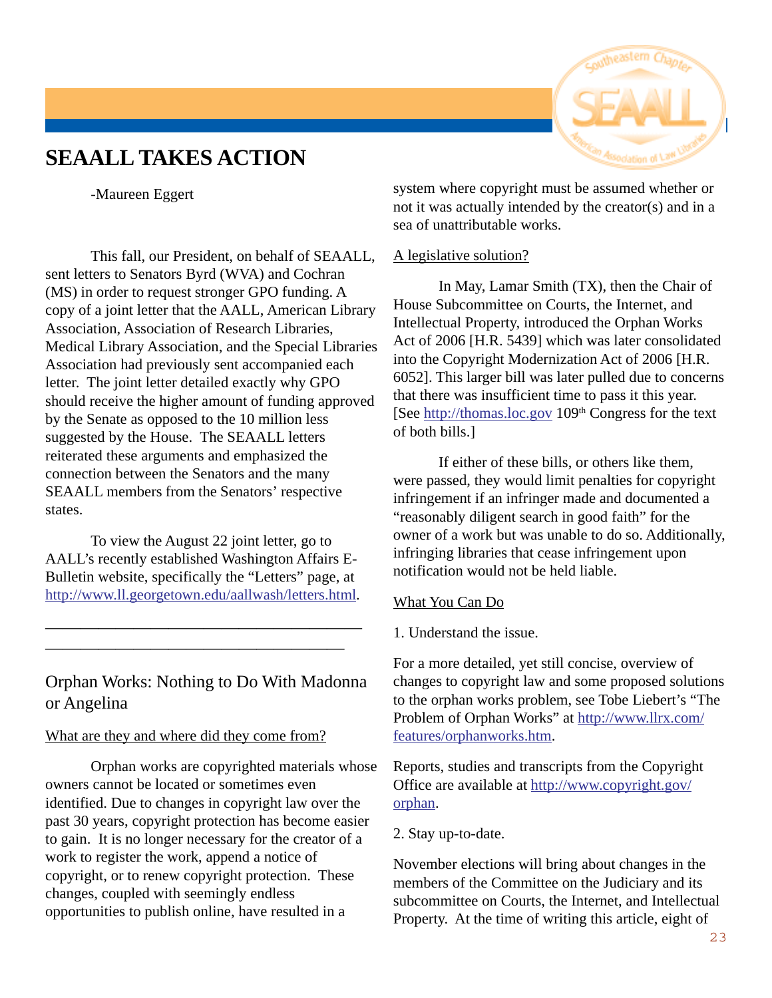## **SEAALL TAKES ACTION**



-Maureen Eggert

This fall, our President, on behalf of SEAALL, sent letters to Senators Byrd (WVA) and Cochran (MS) in order to request stronger GPO funding. A copy of a joint letter that the AALL, American Library Association, Association of Research Libraries, Medical Library Association, and the Special Libraries Association had previously sent accompanied each letter. The joint letter detailed exactly why GPO should receive the higher amount of funding approved by the Senate as opposed to the 10 million less suggested by the House. The SEAALL letters reiterated these arguments and emphasized the connection between the Senators and the many SEAALL members from the Senators' respective states.

To view the August 22 joint letter, go to AALL's recently established Washington Affairs E-Bulletin website, specifically the "Letters" page, at http://www.ll.georgetown.edu/aallwash/letters.html.

—————————————————— —————————————————

## Orphan Works: Nothing to Do With Madonna or Angelina

#### What are they and where did they come from?

Orphan works are copyrighted materials whose owners cannot be located or sometimes even identified. Due to changes in copyright law over the past 30 years, copyright protection has become easier to gain. It is no longer necessary for the creator of a work to register the work, append a notice of copyright, or to renew copyright protection. These changes, coupled with seemingly endless opportunities to publish online, have resulted in a

system where copyright must be assumed whether or not it was actually intended by the creator(s) and in a sea of unattributable works.

#### A legislative solution?

In May, Lamar Smith (TX), then the Chair of House Subcommittee on Courts, the Internet, and Intellectual Property, introduced the Orphan Works Act of 2006 [H.R. 5439] which was later consolidated into the Copyright Modernization Act of 2006 [H.R. 6052]. This larger bill was later pulled due to concerns that there was insufficient time to pass it this year. [See http://thomas.loc.gov 109<sup>th</sup> Congress for the text of both bills.]

If either of these bills, or others like them, were passed, they would limit penalties for copyright infringement if an infringer made and documented a "reasonably diligent search in good faith" for the owner of a work but was unable to do so. Additionally, infringing libraries that cease infringement upon notification would not be held liable.

#### What You Can Do

1. Understand the issue.

For a more detailed, yet still concise, overview of changes to copyright law and some proposed solutions to the orphan works problem, see Tobe Liebert's "The Problem of Orphan Works" at http://www.llrx.com/ features/orphanworks.htm.

Reports, studies and transcripts from the Copyright Office are available at http://www.copyright.gov/ orphan.

2. Stay up-to-date.

November elections will bring about changes in the members of the Committee on the Judiciary and its subcommittee on Courts, the Internet, and Intellectual Property. At the time of writing this article, eight of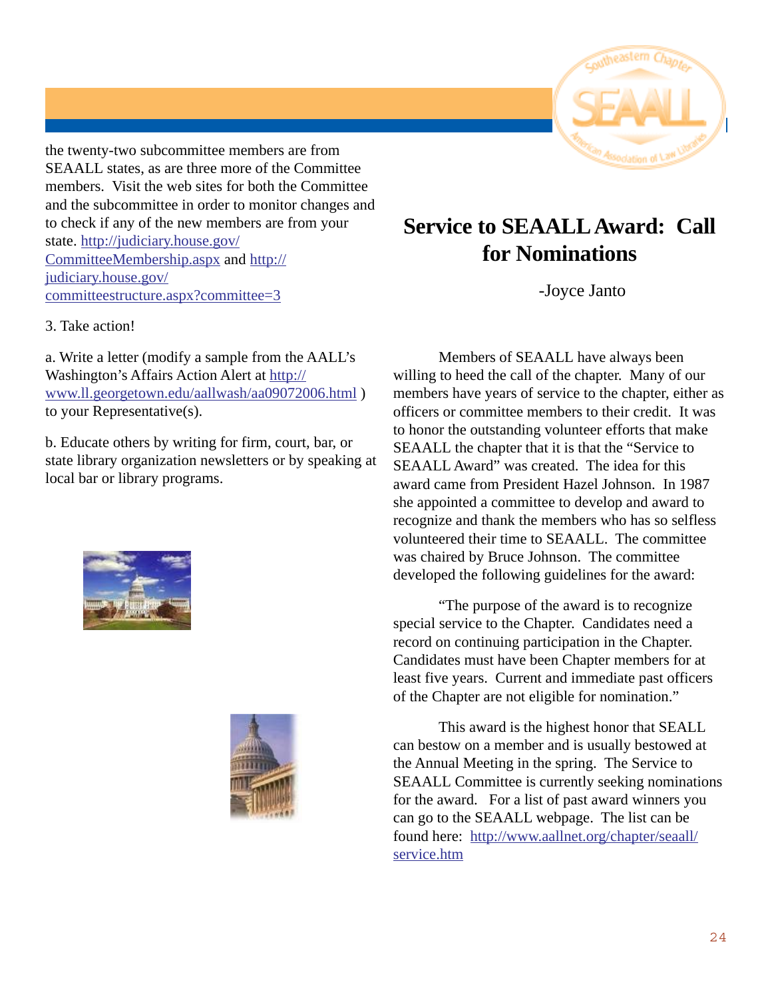

the twenty-two subcommittee members are from SEAALL states, as are three more of the Committee members. Visit the web sites for both the Committee and the subcommittee in order to monitor changes and to check if any of the new members are from your state. http://judiciary.house.gov/ CommitteeMembership.aspx and http:// judiciary.house.gov/ committeestructure.aspx?committee=3

#### 3. Take action!

a. Write a letter (modify a sample from the AALL's Washington's Affairs Action Alert at http:// www.ll.georgetown.edu/aallwash/aa09072006.html ) to your Representative(s).

b. Educate others by writing for firm, court, bar, or state library organization newsletters or by speaking at local bar or library programs.





## **Service to SEAALL Award: Call for Nominations**

-Joyce Janto

Members of SEAALL have always been willing to heed the call of the chapter. Many of our members have years of service to the chapter, either as officers or committee members to their credit. It was to honor the outstanding volunteer efforts that make SEAALL the chapter that it is that the "Service to SEAALL Award" was created. The idea for this award came from President Hazel Johnson. In 1987 she appointed a committee to develop and award to recognize and thank the members who has so selfless volunteered their time to SEAALL. The committee was chaired by Bruce Johnson. The committee developed the following guidelines for the award:

"The purpose of the award is to recognize special service to the Chapter. Candidates need a record on continuing participation in the Chapter. Candidates must have been Chapter members for at least five years. Current and immediate past officers of the Chapter are not eligible for nomination."

This award is the highest honor that SEALL can bestow on a member and is usually bestowed at the Annual Meeting in the spring. The Service to SEAALL Committee is currently seeking nominations for the award. For a list of past award winners you can go to the SEAALL webpage. The list can be found here: http://www.aallnet.org/chapter/seaall/ service.htm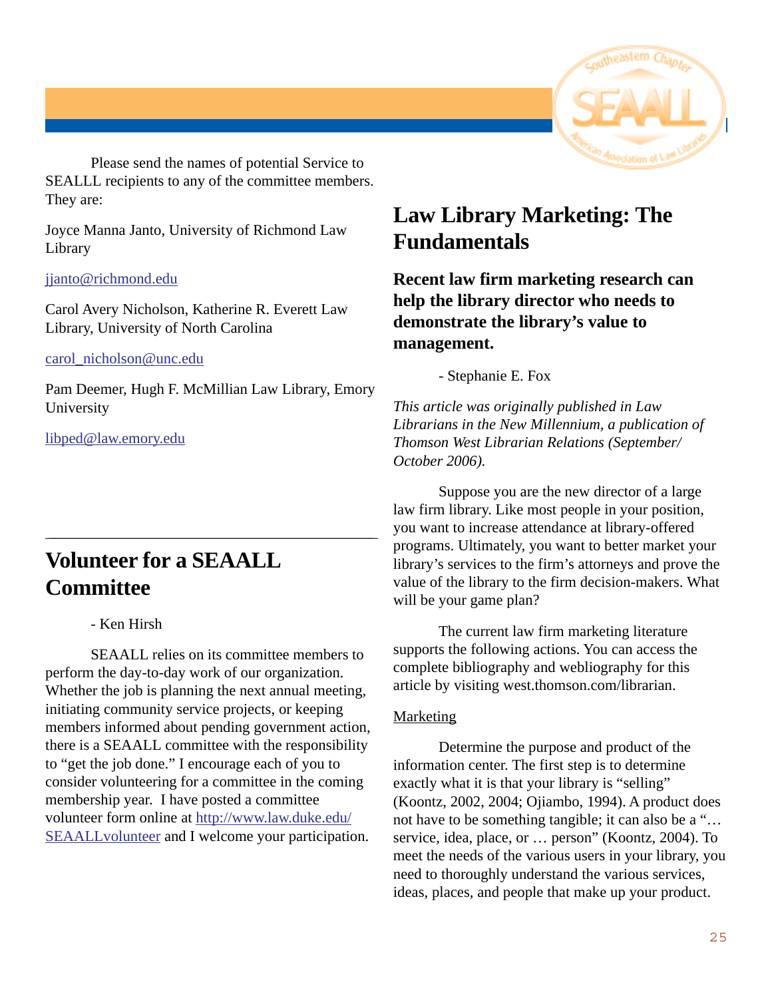

Please send the names of potential Service to SEALLL recipients to any of the committee members. They are:

Joyce Manna Janto, University of Richmond Law Library

#### jjanto@richmond.edu

Carol Avery Nicholson, Katherine R. Everett Law Library, University of North Carolina

#### carol\_nicholson@unc.edu

Pam Deemer, Hugh F. McMillian Law Library, Emory University

\_\_\_\_\_\_\_\_\_\_\_\_\_\_\_\_\_\_\_\_\_\_\_\_\_\_\_\_\_\_\_\_\_\_\_\_\_\_\_\_\_\_\_\_\_\_\_\_\_\_\_\_\_\_\_\_\_\_\_\_\_\_\_\_\_\_\_\_\_\_\_\_\_\_\_\_\_\_\_\_\_\_\_\_\_\_\_\_\_\_\_\_\_\_\_\_\_\_\_\_\_\_\_\_\_\_\_\_\_\_\_\_\_

libped@law.emory.edu

## **Volunteer for a SEAALL Committee**

- Ken Hirsh

SEAALL relies on its committee members to perform the day-to-day work of our organization. Whether the job is planning the next annual meeting, initiating community service projects, or keeping members informed about pending government action, there is a SEAALL committee with the responsibility to "get the job done." I encourage each of you to consider volunteering for a committee in the coming membership year. I have posted a committee volunteer form online at http://www.law.duke.edu/ SEAALLvolunteer and I welcome your participation.

## **Law Library Marketing: The Fundamentals**

**Recent law firm marketing research can help the library director who needs to demonstrate the library's value to management.**

- Stephanie E. Fox

*This article was originally published in Law Librarians in the New Millennium, a publication of Thomson West Librarian Relations (September/ October 2006).*

Suppose you are the new director of a large law firm library. Like most people in your position, you want to increase attendance at library-offered programs. Ultimately, you want to better market your library's services to the firm's attorneys and prove the value of the library to the firm decision-makers. What will be your game plan?

The current law firm marketing literature supports the following actions. You can access the complete bibliography and webliography for this article by visiting west.thomson.com/librarian.

#### Marketing

Determine the purpose and product of the information center. The first step is to determine exactly what it is that your library is "selling" (Koontz, 2002, 2004; Ojiambo, 1994). A product does not have to be something tangible; it can also be a "… service, idea, place, or … person" (Koontz, 2004). To meet the needs of the various users in your library, you need to thoroughly understand the various services, ideas, places, and people that make up your product.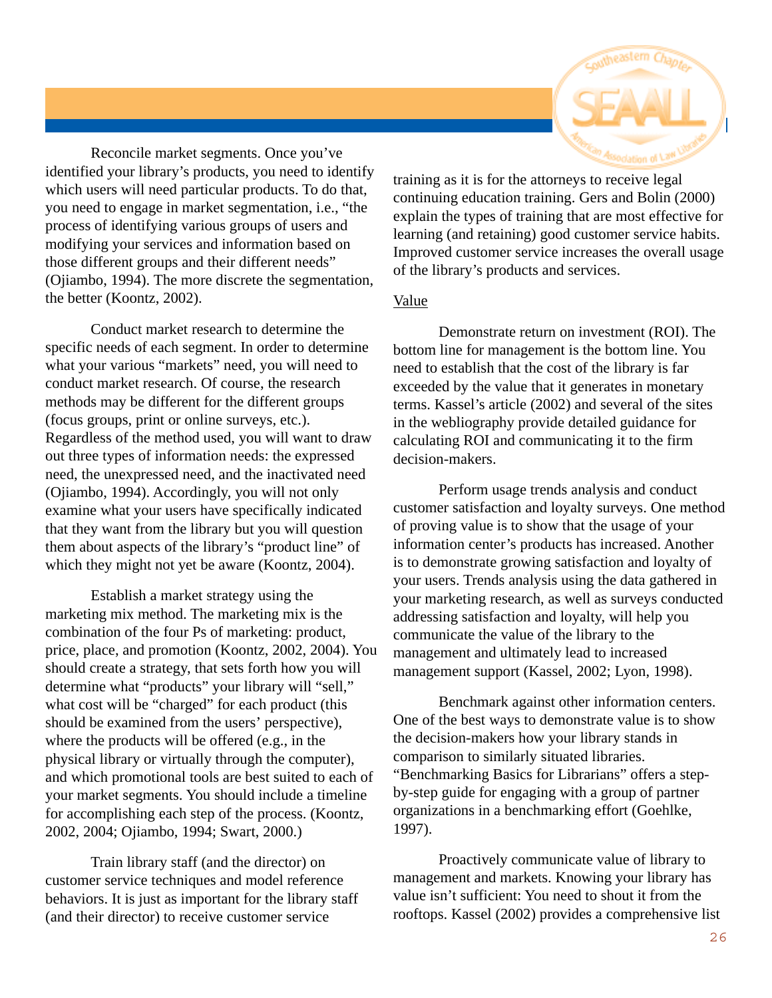

Reconcile market segments. Once you've identified your library's products, you need to identify which users will need particular products. To do that, you need to engage in market segmentation, i.e., "the process of identifying various groups of users and modifying your services and information based on those different groups and their different needs" (Ojiambo, 1994). The more discrete the segmentation, the better (Koontz, 2002).

Conduct market research to determine the specific needs of each segment. In order to determine what your various "markets" need, you will need to conduct market research. Of course, the research methods may be different for the different groups (focus groups, print or online surveys, etc.). Regardless of the method used, you will want to draw out three types of information needs: the expressed need, the unexpressed need, and the inactivated need (Ojiambo, 1994). Accordingly, you will not only examine what your users have specifically indicated that they want from the library but you will question them about aspects of the library's "product line" of which they might not yet be aware (Koontz, 2004).

Establish a market strategy using the marketing mix method. The marketing mix is the combination of the four Ps of marketing: product, price, place, and promotion (Koontz, 2002, 2004). You should create a strategy, that sets forth how you will determine what "products" your library will "sell," what cost will be "charged" for each product (this should be examined from the users' perspective), where the products will be offered (e.g., in the physical library or virtually through the computer), and which promotional tools are best suited to each of your market segments. You should include a timeline for accomplishing each step of the process. (Koontz, 2002, 2004; Ojiambo, 1994; Swart, 2000.)

Train library staff (and the director) on customer service techniques and model reference behaviors. It is just as important for the library staff (and their director) to receive customer service

training as it is for the attorneys to receive legal continuing education training. Gers and Bolin (2000) explain the types of training that are most effective for learning (and retaining) good customer service habits. Improved customer service increases the overall usage of the library's products and services.

#### Value

Demonstrate return on investment (ROI). The bottom line for management is the bottom line. You need to establish that the cost of the library is far exceeded by the value that it generates in monetary terms. Kassel's article (2002) and several of the sites in the webliography provide detailed guidance for calculating ROI and communicating it to the firm decision-makers.

Perform usage trends analysis and conduct customer satisfaction and loyalty surveys. One method of proving value is to show that the usage of your information center's products has increased. Another is to demonstrate growing satisfaction and loyalty of your users. Trends analysis using the data gathered in your marketing research, as well as surveys conducted addressing satisfaction and loyalty, will help you communicate the value of the library to the management and ultimately lead to increased management support (Kassel, 2002; Lyon, 1998).

Benchmark against other information centers. One of the best ways to demonstrate value is to show the decision-makers how your library stands in comparison to similarly situated libraries. "Benchmarking Basics for Librarians" offers a stepby-step guide for engaging with a group of partner organizations in a benchmarking effort (Goehlke, 1997).

Proactively communicate value of library to management and markets. Knowing your library has value isn't sufficient: You need to shout it from the rooftops. Kassel (2002) provides a comprehensive list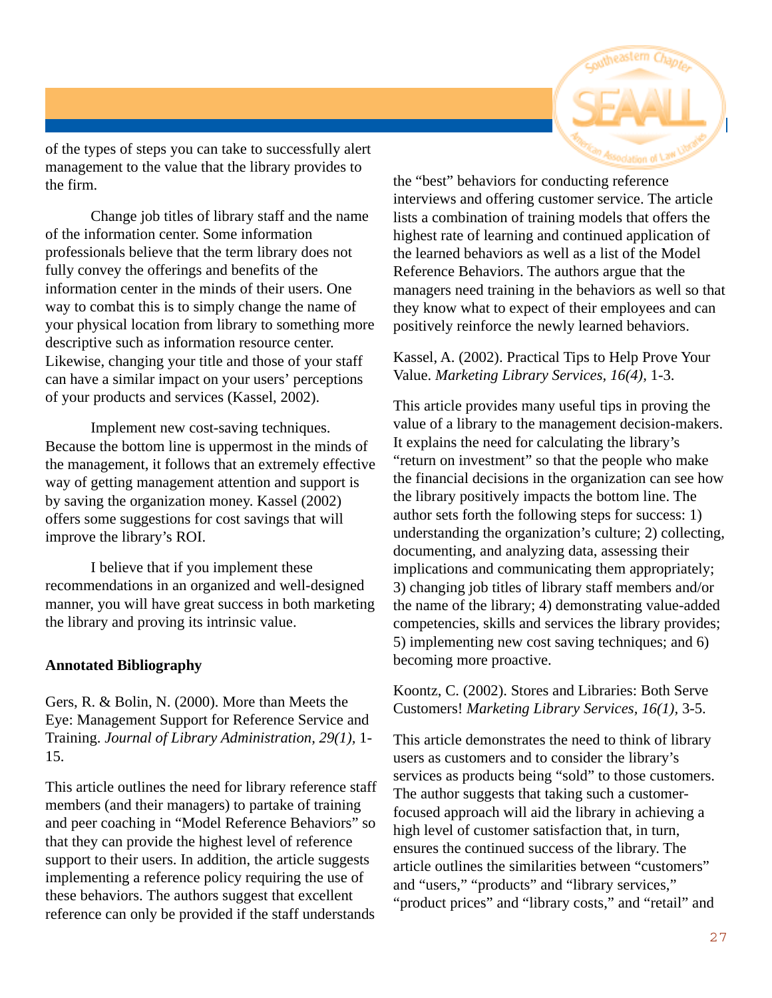

of the types of steps you can take to successfully alert management to the value that the library provides to the firm.

Change job titles of library staff and the name of the information center. Some information professionals believe that the term library does not fully convey the offerings and benefits of the information center in the minds of their users. One way to combat this is to simply change the name of your physical location from library to something more descriptive such as information resource center. Likewise, changing your title and those of your staff can have a similar impact on your users' perceptions of your products and services (Kassel, 2002).

Implement new cost-saving techniques. Because the bottom line is uppermost in the minds of the management, it follows that an extremely effective way of getting management attention and support is by saving the organization money. Kassel (2002) offers some suggestions for cost savings that will improve the library's ROI.

I believe that if you implement these recommendations in an organized and well-designed manner, you will have great success in both marketing the library and proving its intrinsic value.

#### **Annotated Bibliography**

Gers, R. & Bolin, N. (2000). More than Meets the Eye: Management Support for Reference Service and Training. *Journal of Library Administration, 29(1),* 1- 15.

This article outlines the need for library reference staff members (and their managers) to partake of training and peer coaching in "Model Reference Behaviors" so that they can provide the highest level of reference support to their users. In addition, the article suggests implementing a reference policy requiring the use of these behaviors. The authors suggest that excellent reference can only be provided if the staff understands

the "best" behaviors for conducting reference interviews and offering customer service. The article lists a combination of training models that offers the highest rate of learning and continued application of the learned behaviors as well as a list of the Model Reference Behaviors. The authors argue that the managers need training in the behaviors as well so that they know what to expect of their employees and can positively reinforce the newly learned behaviors.

#### Kassel, A. (2002). Practical Tips to Help Prove Your Value. *Marketing Library Services, 16(4),* 1-3.

This article provides many useful tips in proving the value of a library to the management decision-makers. It explains the need for calculating the library's "return on investment" so that the people who make the financial decisions in the organization can see how the library positively impacts the bottom line. The author sets forth the following steps for success: 1) understanding the organization's culture; 2) collecting, documenting, and analyzing data, assessing their implications and communicating them appropriately; 3) changing job titles of library staff members and/or the name of the library; 4) demonstrating value-added competencies, skills and services the library provides; 5) implementing new cost saving techniques; and 6) becoming more proactive.

Koontz, C. (2002). Stores and Libraries: Both Serve Customers! *Marketing Library Services, 16(1),* 3-5.

This article demonstrates the need to think of library users as customers and to consider the library's services as products being "sold" to those customers. The author suggests that taking such a customerfocused approach will aid the library in achieving a high level of customer satisfaction that, in turn, ensures the continued success of the library. The article outlines the similarities between "customers" and "users," "products" and "library services," "product prices" and "library costs," and "retail" and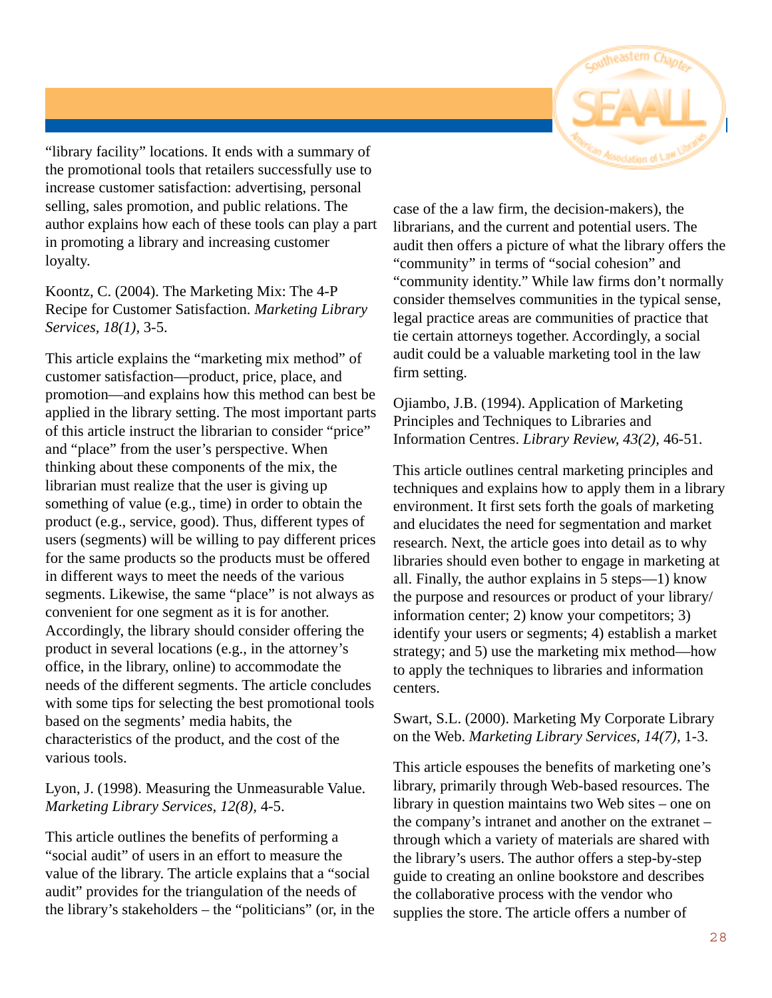

"library facility" locations. It ends with a summary of the promotional tools that retailers successfully use to increase customer satisfaction: advertising, personal selling, sales promotion, and public relations. The author explains how each of these tools can play a part in promoting a library and increasing customer loyalty.

Koontz, C. (2004). The Marketing Mix: The 4-P Recipe for Customer Satisfaction. *Marketing Library Services, 18(1),* 3-5.

This article explains the "marketing mix method" of customer satisfaction—product, price, place, and promotion—and explains how this method can best be applied in the library setting. The most important parts of this article instruct the librarian to consider "price" and "place" from the user's perspective. When thinking about these components of the mix, the librarian must realize that the user is giving up something of value (e.g., time) in order to obtain the product (e.g., service, good). Thus, different types of users (segments) will be willing to pay different prices for the same products so the products must be offered in different ways to meet the needs of the various segments. Likewise, the same "place" is not always as convenient for one segment as it is for another. Accordingly, the library should consider offering the product in several locations (e.g., in the attorney's office, in the library, online) to accommodate the needs of the different segments. The article concludes with some tips for selecting the best promotional tools based on the segments' media habits, the characteristics of the product, and the cost of the various tools.

Lyon, J. (1998). Measuring the Unmeasurable Value. *Marketing Library Services, 12(8),* 4-5.

This article outlines the benefits of performing a "social audit" of users in an effort to measure the value of the library. The article explains that a "social audit" provides for the triangulation of the needs of the library's stakeholders – the "politicians" (or, in the

case of the a law firm, the decision-makers), the librarians, and the current and potential users. The audit then offers a picture of what the library offers the "community" in terms of "social cohesion" and "community identity." While law firms don't normally consider themselves communities in the typical sense, legal practice areas are communities of practice that tie certain attorneys together. Accordingly, a social audit could be a valuable marketing tool in the law firm setting.

Ojiambo, J.B. (1994). Application of Marketing Principles and Techniques to Libraries and Information Centres. *Library Review, 43(2),* 46-51.

This article outlines central marketing principles and techniques and explains how to apply them in a library environment. It first sets forth the goals of marketing and elucidates the need for segmentation and market research. Next, the article goes into detail as to why libraries should even bother to engage in marketing at all. Finally, the author explains in 5 steps—1) know the purpose and resources or product of your library/ information center; 2) know your competitors; 3) identify your users or segments; 4) establish a market strategy; and 5) use the marketing mix method—how to apply the techniques to libraries and information centers.

#### Swart, S.L. (2000). Marketing My Corporate Library on the Web. *Marketing Library Services, 14(7),* 1-3.

This article espouses the benefits of marketing one's library, primarily through Web-based resources. The library in question maintains two Web sites – one on the company's intranet and another on the extranet – through which a variety of materials are shared with the library's users. The author offers a step-by-step guide to creating an online bookstore and describes the collaborative process with the vendor who supplies the store. The article offers a number of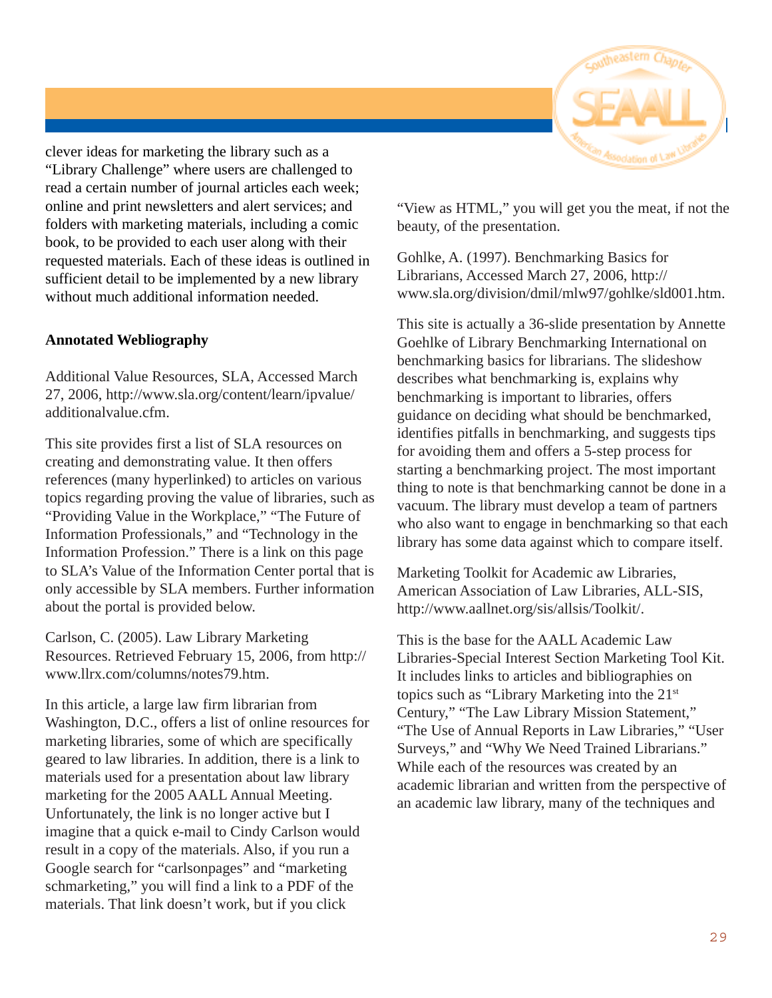

clever ideas for marketing the library such as a "Library Challenge" where users are challenged to read a certain number of journal articles each week; online and print newsletters and alert services; and folders with marketing materials, including a comic book, to be provided to each user along with their requested materials. Each of these ideas is outlined in sufficient detail to be implemented by a new library without much additional information needed.

#### **Annotated Webliography**

Additional Value Resources, SLA, Accessed March 27, 2006, http://www.sla.org/content/learn/ipvalue/ additionalvalue.cfm.

This site provides first a list of SLA resources on creating and demonstrating value. It then offers references (many hyperlinked) to articles on various topics regarding proving the value of libraries, such as "Providing Value in the Workplace," "The Future of Information Professionals," and "Technology in the Information Profession." There is a link on this page to SLA's Value of the Information Center portal that is only accessible by SLA members. Further information about the portal is provided below.

Carlson, C. (2005). Law Library Marketing Resources. Retrieved February 15, 2006, from http:// www.llrx.com/columns/notes79.htm.

In this article, a large law firm librarian from Washington, D.C., offers a list of online resources for marketing libraries, some of which are specifically geared to law libraries. In addition, there is a link to materials used for a presentation about law library marketing for the 2005 AALL Annual Meeting. Unfortunately, the link is no longer active but I imagine that a quick e-mail to Cindy Carlson would result in a copy of the materials. Also, if you run a Google search for "carlsonpages" and "marketing schmarketing," you will find a link to a PDF of the materials. That link doesn't work, but if you click

"View as HTML," you will get you the meat, if not the beauty, of the presentation.

Gohlke, A. (1997). Benchmarking Basics for Librarians, Accessed March 27, 2006, http:// www.sla.org/division/dmil/mlw97/gohlke/sld001.htm.

This site is actually a 36-slide presentation by Annette Goehlke of Library Benchmarking International on benchmarking basics for librarians. The slideshow describes what benchmarking is, explains why benchmarking is important to libraries, offers guidance on deciding what should be benchmarked, identifies pitfalls in benchmarking, and suggests tips for avoiding them and offers a 5-step process for starting a benchmarking project. The most important thing to note is that benchmarking cannot be done in a vacuum. The library must develop a team of partners who also want to engage in benchmarking so that each library has some data against which to compare itself.

Marketing Toolkit for Academic aw Libraries, American Association of Law Libraries, ALL-SIS, http://www.aallnet.org/sis/allsis/Toolkit/.

This is the base for the AALL Academic Law Libraries-Special Interest Section Marketing Tool Kit. It includes links to articles and bibliographies on topics such as "Library Marketing into the 21<sup>st</sup> Century," "The Law Library Mission Statement," "The Use of Annual Reports in Law Libraries," "User Surveys," and "Why We Need Trained Librarians." While each of the resources was created by an academic librarian and written from the perspective of an academic law library, many of the techniques and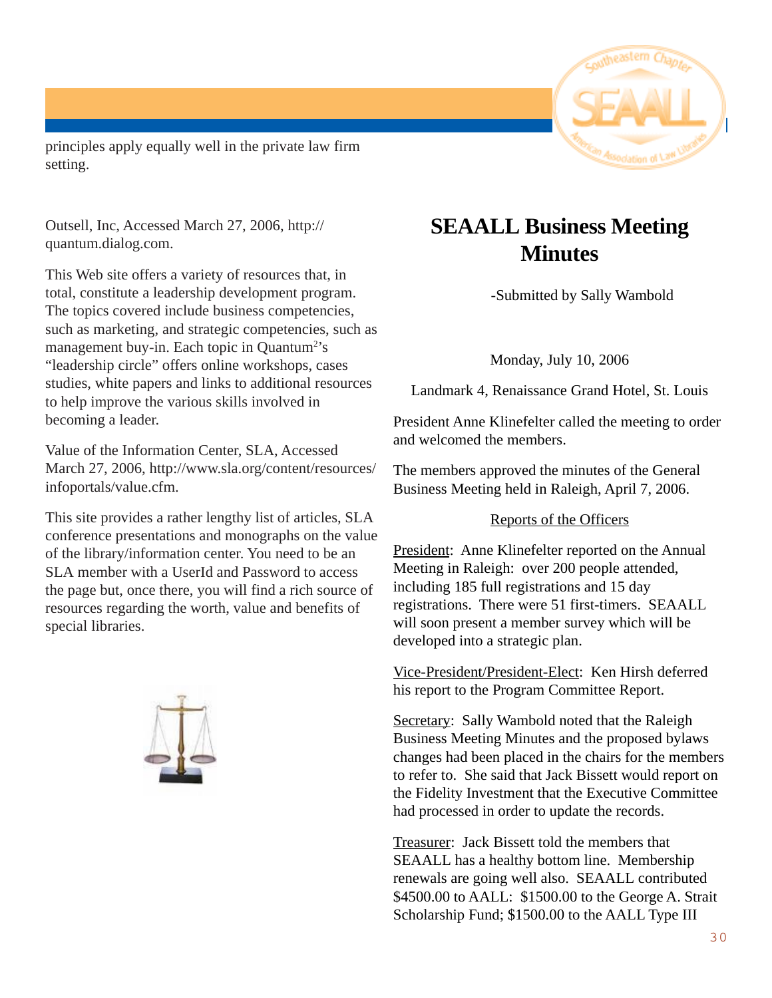

principles apply equally well in the private law firm setting.

Outsell, Inc, Accessed March 27, 2006, http:// quantum.dialog.com.

This Web site offers a variety of resources that, in total, constitute a leadership development program. The topics covered include business competencies, such as marketing, and strategic competencies, such as management buy-in. Each topic in Quantum<sup>2</sup>'s "leadership circle" offers online workshops, cases studies, white papers and links to additional resources to help improve the various skills involved in becoming a leader.

Value of the Information Center, SLA, Accessed March 27, 2006, http://www.sla.org/content/resources/ infoportals/value.cfm.

This site provides a rather lengthy list of articles, SLA conference presentations and monographs on the value of the library/information center. You need to be an SLA member with a UserId and Password to access the page but, once there, you will find a rich source of resources regarding the worth, value and benefits of special libraries.



## **SEAALL Business Meeting Minutes**

-Submitted by Sally Wambold

Monday, July 10, 2006

Landmark 4, Renaissance Grand Hotel, St. Louis

President Anne Klinefelter called the meeting to order and welcomed the members.

The members approved the minutes of the General Business Meeting held in Raleigh, April 7, 2006.

#### Reports of the Officers

President: Anne Klinefelter reported on the Annual Meeting in Raleigh: over 200 people attended, including 185 full registrations and 15 day registrations. There were 51 first-timers. SEAALL will soon present a member survey which will be developed into a strategic plan.

Vice-President/President-Elect: Ken Hirsh deferred his report to the Program Committee Report.

Secretary: Sally Wambold noted that the Raleigh Business Meeting Minutes and the proposed bylaws changes had been placed in the chairs for the members to refer to. She said that Jack Bissett would report on the Fidelity Investment that the Executive Committee had processed in order to update the records.

Treasurer: Jack Bissett told the members that SEAALL has a healthy bottom line. Membership renewals are going well also. SEAALL contributed \$4500.00 to AALL: \$1500.00 to the George A. Strait Scholarship Fund; \$1500.00 to the AALL Type III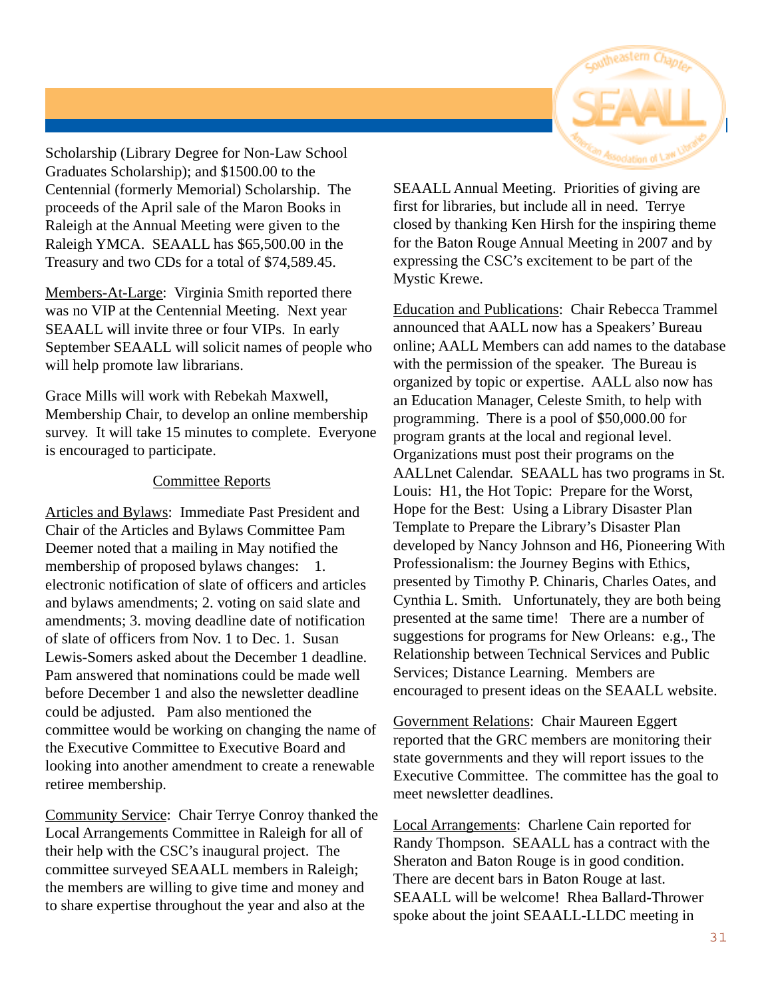

Scholarship (Library Degree for Non-Law School Graduates Scholarship); and \$1500.00 to the Centennial (formerly Memorial) Scholarship. The proceeds of the April sale of the Maron Books in Raleigh at the Annual Meeting were given to the Raleigh YMCA. SEAALL has \$65,500.00 in the Treasury and two CDs for a total of \$74,589.45.

Members-At-Large: Virginia Smith reported there was no VIP at the Centennial Meeting. Next year SEAALL will invite three or four VIPs. In early September SEAALL will solicit names of people who will help promote law librarians.

Grace Mills will work with Rebekah Maxwell, Membership Chair, to develop an online membership survey. It will take 15 minutes to complete. Everyone is encouraged to participate.

#### Committee Reports

Articles and Bylaws: Immediate Past President and Chair of the Articles and Bylaws Committee Pam Deemer noted that a mailing in May notified the membership of proposed bylaws changes: 1. electronic notification of slate of officers and articles and bylaws amendments; 2. voting on said slate and amendments; 3. moving deadline date of notification of slate of officers from Nov. 1 to Dec. 1. Susan Lewis-Somers asked about the December 1 deadline. Pam answered that nominations could be made well before December 1 and also the newsletter deadline could be adjusted. Pam also mentioned the committee would be working on changing the name of the Executive Committee to Executive Board and looking into another amendment to create a renewable retiree membership.

Community Service: Chair Terrye Conroy thanked the Local Arrangements Committee in Raleigh for all of their help with the CSC's inaugural project. The committee surveyed SEAALL members in Raleigh; the members are willing to give time and money and to share expertise throughout the year and also at the

SEAALL Annual Meeting. Priorities of giving are first for libraries, but include all in need. Terrye closed by thanking Ken Hirsh for the inspiring theme for the Baton Rouge Annual Meeting in 2007 and by expressing the CSC's excitement to be part of the Mystic Krewe.

Education and Publications: Chair Rebecca Trammel announced that AALL now has a Speakers' Bureau online; AALL Members can add names to the database with the permission of the speaker. The Bureau is organized by topic or expertise. AALL also now has an Education Manager, Celeste Smith, to help with programming. There is a pool of \$50,000.00 for program grants at the local and regional level. Organizations must post their programs on the AALLnet Calendar. SEAALL has two programs in St. Louis: H1, the Hot Topic: Prepare for the Worst, Hope for the Best: Using a Library Disaster Plan Template to Prepare the Library's Disaster Plan developed by Nancy Johnson and H6, Pioneering With Professionalism: the Journey Begins with Ethics, presented by Timothy P. Chinaris, Charles Oates, and Cynthia L. Smith. Unfortunately, they are both being presented at the same time! There are a number of suggestions for programs for New Orleans: e.g., The Relationship between Technical Services and Public Services; Distance Learning. Members are encouraged to present ideas on the SEAALL website.

Government Relations: Chair Maureen Eggert reported that the GRC members are monitoring their state governments and they will report issues to the Executive Committee. The committee has the goal to meet newsletter deadlines.

Local Arrangements: Charlene Cain reported for Randy Thompson. SEAALL has a contract with the Sheraton and Baton Rouge is in good condition. There are decent bars in Baton Rouge at last. SEAALL will be welcome! Rhea Ballard-Thrower spoke about the joint SEAALL-LLDC meeting in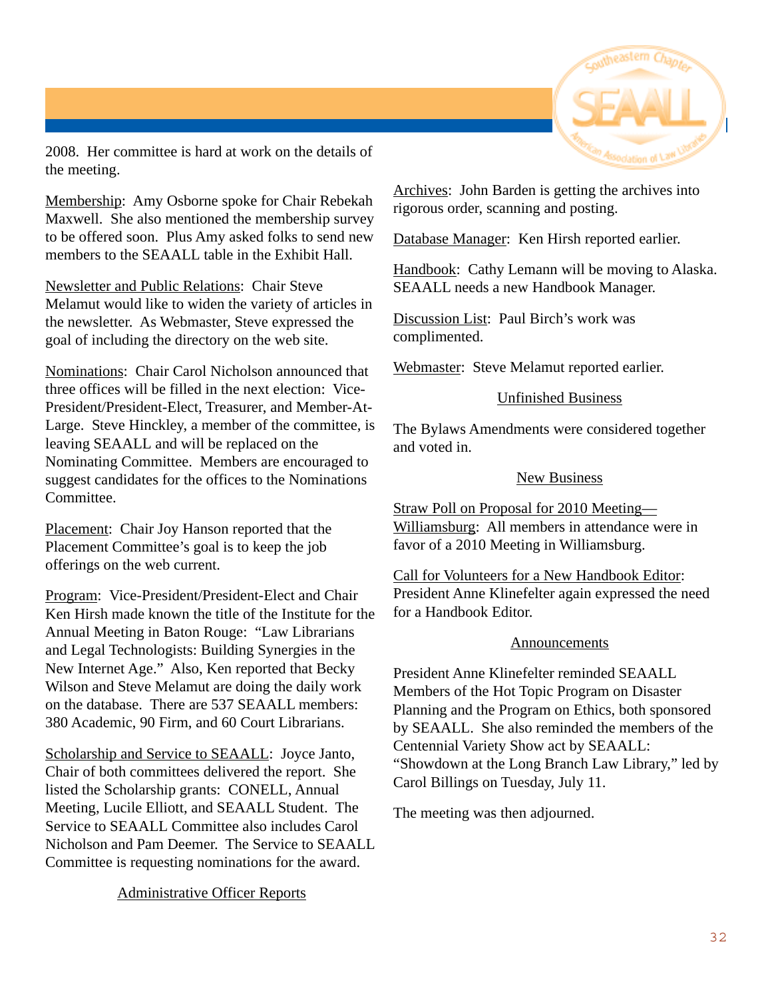

2008. Her committee is hard at work on the details of the meeting.

Membership: Amy Osborne spoke for Chair Rebekah Maxwell. She also mentioned the membership survey to be offered soon. Plus Amy asked folks to send new members to the SEAALL table in the Exhibit Hall.

Newsletter and Public Relations: Chair Steve Melamut would like to widen the variety of articles in the newsletter. As Webmaster, Steve expressed the goal of including the directory on the web site.

Nominations: Chair Carol Nicholson announced that three offices will be filled in the next election: Vice-President/President-Elect, Treasurer, and Member-At-Large. Steve Hinckley, a member of the committee, is leaving SEAALL and will be replaced on the Nominating Committee. Members are encouraged to suggest candidates for the offices to the Nominations Committee.

Placement: Chair Joy Hanson reported that the Placement Committee's goal is to keep the job offerings on the web current.

Program: Vice-President/President-Elect and Chair Ken Hirsh made known the title of the Institute for the Annual Meeting in Baton Rouge: "Law Librarians and Legal Technologists: Building Synergies in the New Internet Age." Also, Ken reported that Becky Wilson and Steve Melamut are doing the daily work on the database. There are 537 SEAALL members: 380 Academic, 90 Firm, and 60 Court Librarians.

Scholarship and Service to SEAALL: Joyce Janto, Chair of both committees delivered the report. She listed the Scholarship grants: CONELL, Annual Meeting, Lucile Elliott, and SEAALL Student. The Service to SEAALL Committee also includes Carol Nicholson and Pam Deemer. The Service to SEAALL Committee is requesting nominations for the award.

#### Administrative Officer Reports

Archives: John Barden is getting the archives into rigorous order, scanning and posting.

Database Manager: Ken Hirsh reported earlier.

Handbook: Cathy Lemann will be moving to Alaska. SEAALL needs a new Handbook Manager.

Discussion List: Paul Birch's work was complimented.

Webmaster: Steve Melamut reported earlier.

#### Unfinished Business

The Bylaws Amendments were considered together and voted in.

#### New Business

Straw Poll on Proposal for 2010 Meeting— Williamsburg: All members in attendance were in favor of a 2010 Meeting in Williamsburg.

Call for Volunteers for a New Handbook Editor: President Anne Klinefelter again expressed the need for a Handbook Editor.

#### **Announcements**

President Anne Klinefelter reminded SEAALL Members of the Hot Topic Program on Disaster Planning and the Program on Ethics, both sponsored by SEAALL. She also reminded the members of the Centennial Variety Show act by SEAALL: "Showdown at the Long Branch Law Library," led by Carol Billings on Tuesday, July 11.

The meeting was then adjourned.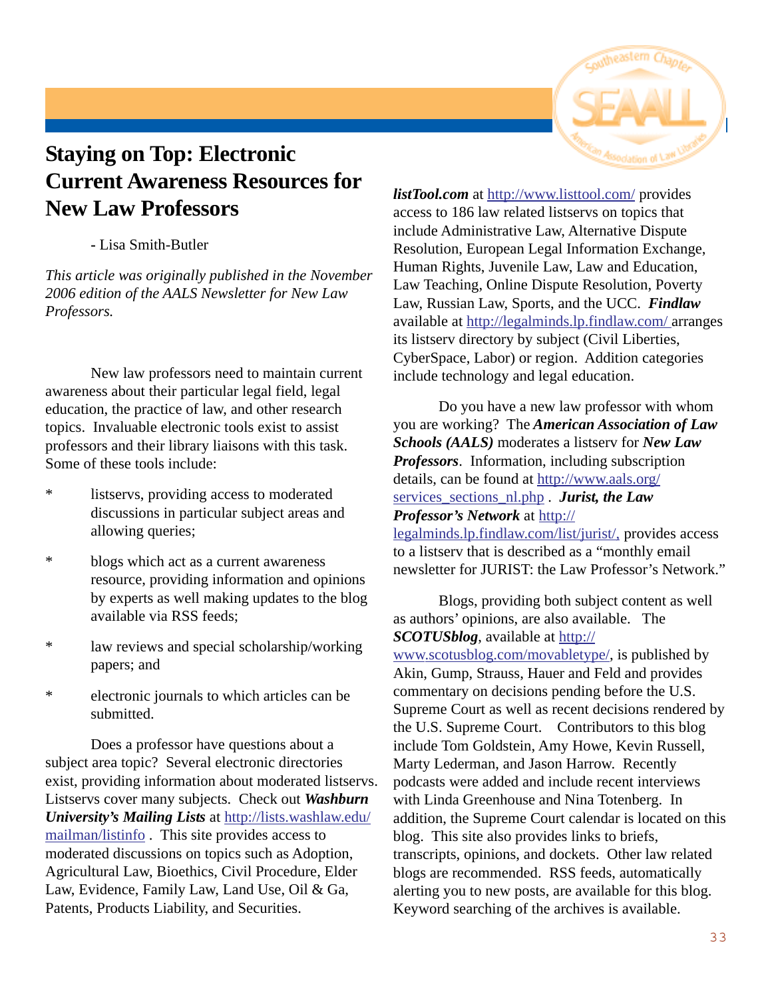

## **Staying on Top: Electronic Current Awareness Resources for New Law Professors**

#### **-** Lisa Smith-Butler

*This article was originally published in the November 2006 edition of the AALS Newsletter for New Law Professors.*

New law professors need to maintain current awareness about their particular legal field, legal education, the practice of law, and other research topics. Invaluable electronic tools exist to assist professors and their library liaisons with this task. Some of these tools include:

- \* listservs, providing access to moderated discussions in particular subject areas and allowing queries;
- \* blogs which act as a current awareness resource, providing information and opinions by experts as well making updates to the blog available via RSS feeds;
- \* law reviews and special scholarship/working papers; and
- \* electronic journals to which articles can be submitted.

Does a professor have questions about a subject area topic? Several electronic directories exist, providing information about moderated listservs. Listservs cover many subjects. Check out *Washburn University's Mailing Lists* at http://lists.washlaw.edu/ mailman/listinfo .This site provides access to moderated discussions on topics such as Adoption, Agricultural Law, Bioethics, Civil Procedure, Elder Law, Evidence, Family Law, Land Use, Oil & Ga, Patents, Products Liability, and Securities.

*listTool.com* at http://www.listtool.com/ provides access to 186 law related listservs on topics that include Administrative Law, Alternative Dispute Resolution, European Legal Information Exchange, Human Rights, Juvenile Law, Law and Education, Law Teaching, Online Dispute Resolution, Poverty Law, Russian Law, Sports, and the UCC. *Findlaw* available at http://legalminds.lp.findlaw.com/ arranges its listserv directory by subject (Civil Liberties, CyberSpace, Labor) or region. Addition categories include technology and legal education.

Do you have a new law professor with whom you are working? The *American Association of Law Schools (AALS)* moderates a listserv for *New Law Professors*. Information, including subscription details, can be found at http://www.aals.org/ services sections nl.php . *Jurist, the Law* 

#### *Professor's Network* at http://

legalminds.lp.findlaw.com/list/jurist/, provides access to a listserv that is described as a "monthly email newsletter for JURIST: the Law Professor's Network."

Blogs, providing both subject content as well as authors' opinions, are also available. The *SCOTUSblog*, available at http://

www.scotusblog.com/movabletype/, is published by Akin, Gump, Strauss, Hauer and Feld and provides commentary on decisions pending before the U.S. Supreme Court as well as recent decisions rendered by the U.S. Supreme Court. Contributors to this blog include Tom Goldstein, Amy Howe, Kevin Russell, Marty Lederman, and Jason Harrow. Recently podcasts were added and include recent interviews with Linda Greenhouse and Nina Totenberg. In addition, the Supreme Court calendar is located on this blog. This site also provides links to briefs, transcripts, opinions, and dockets. Other law related blogs are recommended. RSS feeds, automatically alerting you to new posts, are available for this blog. Keyword searching of the archives is available.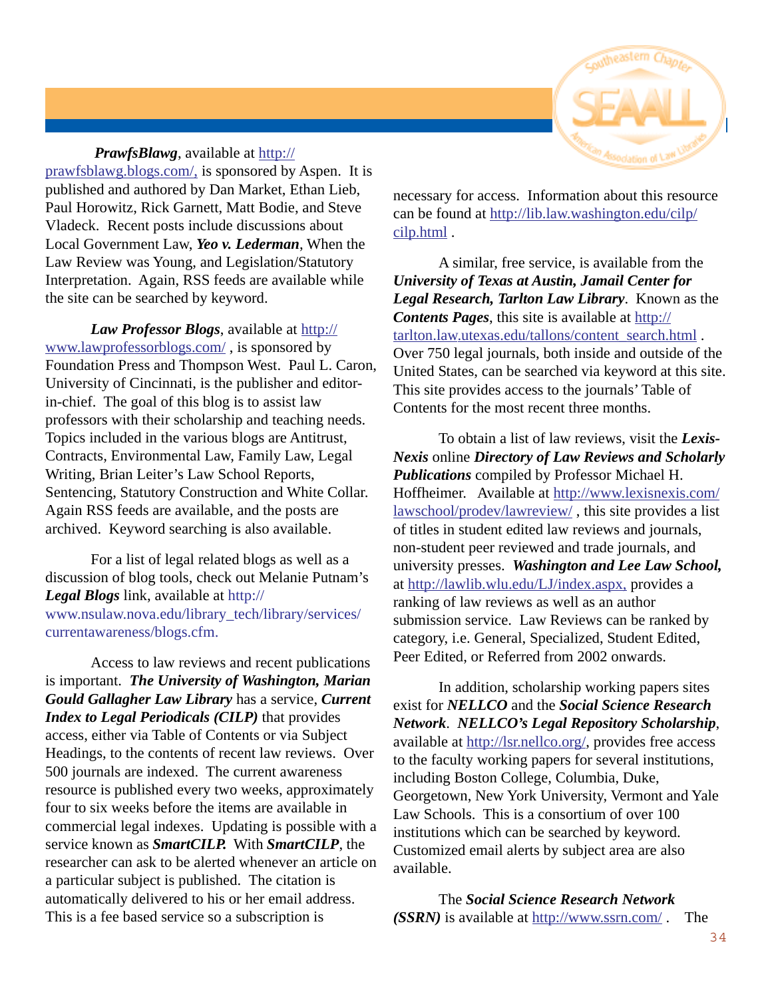

*PrawfsBlawg*, available at http:// prawfsblawg.blogs.com/, is sponsored by Aspen. It is published and authored by Dan Market, Ethan Lieb, Paul Horowitz, Rick Garnett, Matt Bodie, and Steve Vladeck. Recent posts include discussions about Local Government Law, *Yeo v. Lederman*, When the Law Review was Young, and Legislation/Statutory Interpretation. Again, RSS feeds are available while the site can be searched by keyword.

*Law Professor Blogs*, available at http:// www.lawprofessorblogs.com/ , is sponsored by Foundation Press and Thompson West. Paul L. Caron, University of Cincinnati, is the publisher and editorin-chief. The goal of this blog is to assist law professors with their scholarship and teaching needs. Topics included in the various blogs are Antitrust, Contracts, Environmental Law, Family Law, Legal Writing, Brian Leiter's Law School Reports, Sentencing, Statutory Construction and White Collar. Again RSS feeds are available, and the posts are archived. Keyword searching is also available.

For a list of legal related blogs as well as a discussion of blog tools, check out Melanie Putnam's *Legal Blogs* link, available at http:// www.nsulaw.nova.edu/library\_tech/library/services/ currentawareness/blogs.cfm.

Access to law reviews and recent publications is important. *The University of Washington, Marian Gould Gallagher Law Library* has a service, *Current Index to Legal Periodicals (CILP)* that provides access, either via Table of Contents or via Subject Headings, to the contents of recent law reviews. Over 500 journals are indexed. The current awareness resource is published every two weeks, approximately four to six weeks before the items are available in commercial legal indexes. Updating is possible with a service known as *SmartCILP.* With *SmartCILP*, the researcher can ask to be alerted whenever an article on a particular subject is published. The citation is automatically delivered to his or her email address. This is a fee based service so a subscription is

necessary for access. Information about this resource can be found at http://lib.law.washington.edu/cilp/ cilp.html .

A similar, free service, is available from the *University of Texas at Austin, Jamail Center for Legal Research, Tarlton Law Library*. Known as the **Contents Pages**, this site is available at http:// tarlton.law.utexas.edu/tallons/content\_search.html . Over 750 legal journals, both inside and outside of the United States, can be searched via keyword at this site. This site provides access to the journals' Table of Contents for the most recent three months.

To obtain a list of law reviews, visit the *Lexis-Nexis* online *Directory of Law Reviews and Scholarly Publications* compiled by Professor Michael H. Hoffheimer. Available at http://www.lexisnexis.com/ lawschool/prodev/lawreview/ , this site provides a list of titles in student edited law reviews and journals, non-student peer reviewed and trade journals, and university presses. *Washington and Lee Law School,* at http://lawlib.wlu.edu/LJ/index.aspx, provides a ranking of law reviews as well as an author submission service. Law Reviews can be ranked by category, i.e. General, Specialized, Student Edited, Peer Edited, or Referred from 2002 onwards.

In addition, scholarship working papers sites exist for *NELLCO* and the *Social Science Research Network*. *NELLCO's Legal Repository Scholarship*, available at http://lsr.nellco.org/, provides free access to the faculty working papers for several institutions, including Boston College, Columbia, Duke, Georgetown, New York University, Vermont and Yale Law Schools. This is a consortium of over 100 institutions which can be searched by keyword. Customized email alerts by subject area are also available.

The *Social Science Research Network (SSRN)* is available at http://www.ssrn.com/ . The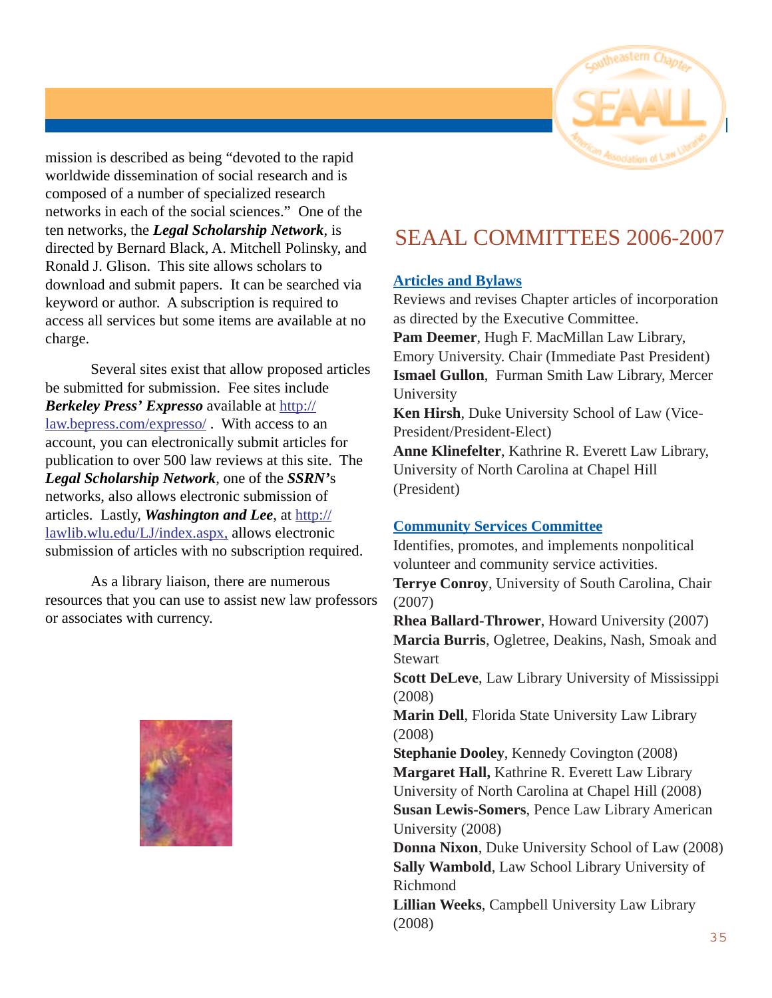

mission is described as being "devoted to the rapid worldwide dissemination of social research and is composed of a number of specialized research networks in each of the social sciences." One of the ten networks, the *Legal Scholarship Network*, is directed by Bernard Black, A. Mitchell Polinsky, and Ronald J. Glison. This site allows scholars to download and submit papers. It can be searched via keyword or author. A subscription is required to access all services but some items are available at no charge.

Several sites exist that allow proposed articles be submitted for submission. Fee sites include *Berkeley Press' Expresso* available at http:// law.bepress.com/expresso/ . With access to an account, you can electronically submit articles for publication to over 500 law reviews at this site. The *Legal Scholarship Network*, one of the *SSRN'*s networks, also allows electronic submission of articles. Lastly, *Washington and Lee*, at http:// lawlib.wlu.edu/LJ/index.aspx, allows electronic submission of articles with no subscription required.

As a library liaison, there are numerous resources that you can use to assist new law professors or associates with currency.

## SEAAL COMMITTEES 2006-2007

#### **Articles and Bylaws**

Reviews and revises Chapter articles of incorporation as directed by the Executive Committee. **Pam Deemer**, Hugh F. MacMillan Law Library, Emory University. Chair (Immediate Past President) **Ismael Gullon**, Furman Smith Law Library, Mercer University **Ken Hirsh**, Duke University School of Law (Vice-President/President-Elect) **Anne Klinefelter**, Kathrine R. Everett Law Library, University of North Carolina at Chapel Hill

(President)

#### **Community Services Committee**

Identifies, promotes, and implements nonpolitical volunteer and community service activities. **Terrye Conroy**, University of South Carolina, Chair (2007)

**Rhea Ballard-Thrower**, Howard University (2007) **Marcia Burris**, Ogletree, Deakins, Nash, Smoak and **Stewart** 

**Scott DeLeve**, Law Library University of Mississippi (2008)

**Marin Dell**, Florida State University Law Library (2008)

**Stephanie Dooley**, Kennedy Covington (2008) **Margaret Hall,** Kathrine R. Everett Law Library University of North Carolina at Chapel Hill (2008) **Susan Lewis-Somers**, Pence Law Library American University (2008)

**Donna Nixon**, Duke University School of Law (2008) **Sally Wambold**, Law School Library University of Richmond

**Lillian Weeks**, Campbell University Law Library (2008)

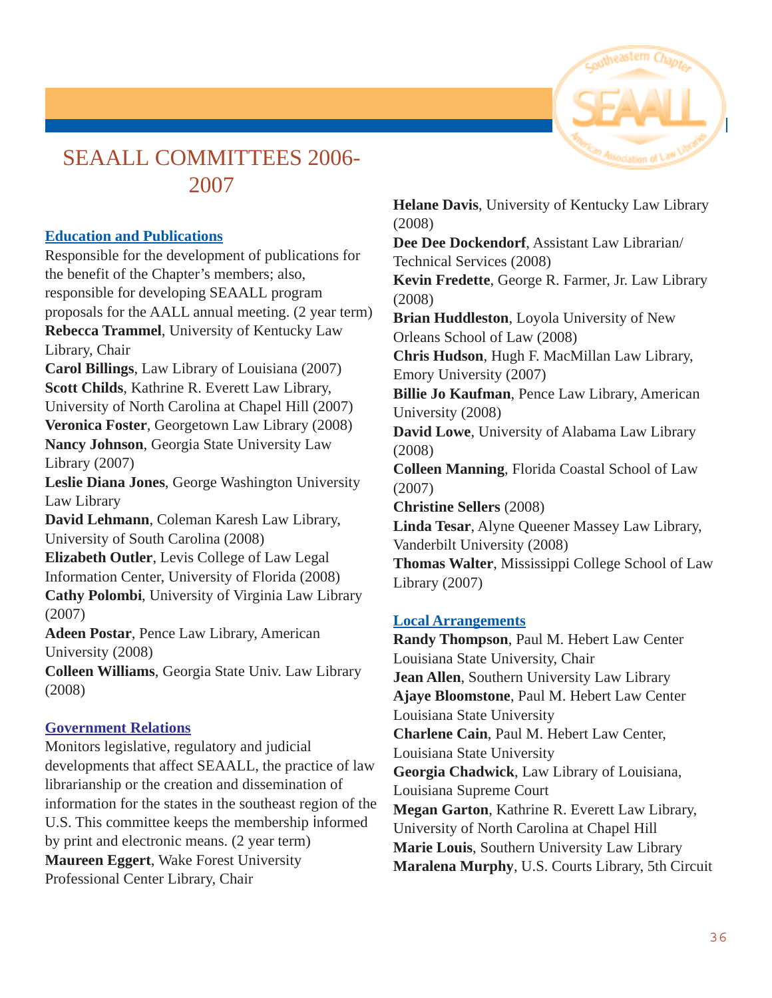

## SEAALL COMMITTEES 2006- 2007

#### **Education and Publications**

Responsible for the development of publications for the benefit of the Chapter's members; also, responsible for developing SEAALL program proposals for the AALL annual meeting. (2 year term) **Rebecca Trammel**, University of Kentucky Law Library, Chair

**Carol Billings**, Law Library of Louisiana (2007) **Scott Childs**, Kathrine R. Everett Law Library, University of North Carolina at Chapel Hill (2007) **Veronica Foster**, Georgetown Law Library (2008) **Nancy Johnson**, Georgia State University Law Library (2007)

**Leslie Diana Jones**, George Washington University Law Library

**David Lehmann**, Coleman Karesh Law Library, University of South Carolina (2008)

**Elizabeth Outler**, Levis College of Law Legal Information Center, University of Florida (2008)

**Cathy Polombi**, University of Virginia Law Library (2007)

**Adeen Postar**, Pence Law Library, American University (2008)

**Colleen Williams**, Georgia State Univ. Law Library (2008)

#### **Government Relations**

Monitors legislative, regulatory and judicial developments that affect SEAALL, the practice of law librarianship or the creation and dissemination of information for the states in the southeast region of the U.S. This committee keeps the membership informed by print and electronic means. (2 year term) **Maureen Eggert**, Wake Forest University Professional Center Library, Chair

**Helane Davis**, University of Kentucky Law Library (2008)

**Dee Dee Dockendorf**, Assistant Law Librarian/ Technical Services (2008)

**Kevin Fredette**, George R. Farmer, Jr. Law Library (2008)

**Brian Huddleston**, Loyola University of New Orleans School of Law (2008)

**Chris Hudson**, Hugh F. MacMillan Law Library, Emory University (2007)

**Billie Jo Kaufman**, Pence Law Library, American University (2008)

**David Lowe**, University of Alabama Law Library (2008)

**Colleen Manning**, Florida Coastal School of Law (2007)

**Christine Sellers** (2008)

**Linda Tesar**, Alyne Queener Massey Law Library, Vanderbilt University (2008)

**Thomas Walter**, Mississippi College School of Law Library (2007)

#### **Local Arrangements**

**Randy Thompson**, Paul M. Hebert Law Center Louisiana State University, Chair **Jean Allen**, Southern University Law Library **Ajaye Bloomstone**, Paul M. Hebert Law Center Louisiana State University **Charlene Cain**, Paul M. Hebert Law Center, Louisiana State University **Georgia Chadwick**, Law Library of Louisiana, Louisiana Supreme Court **Megan Garton**, Kathrine R. Everett Law Library, University of North Carolina at Chapel Hill **Marie Louis**, Southern University Law Library **Maralena Murphy**, U.S. Courts Library, 5th Circuit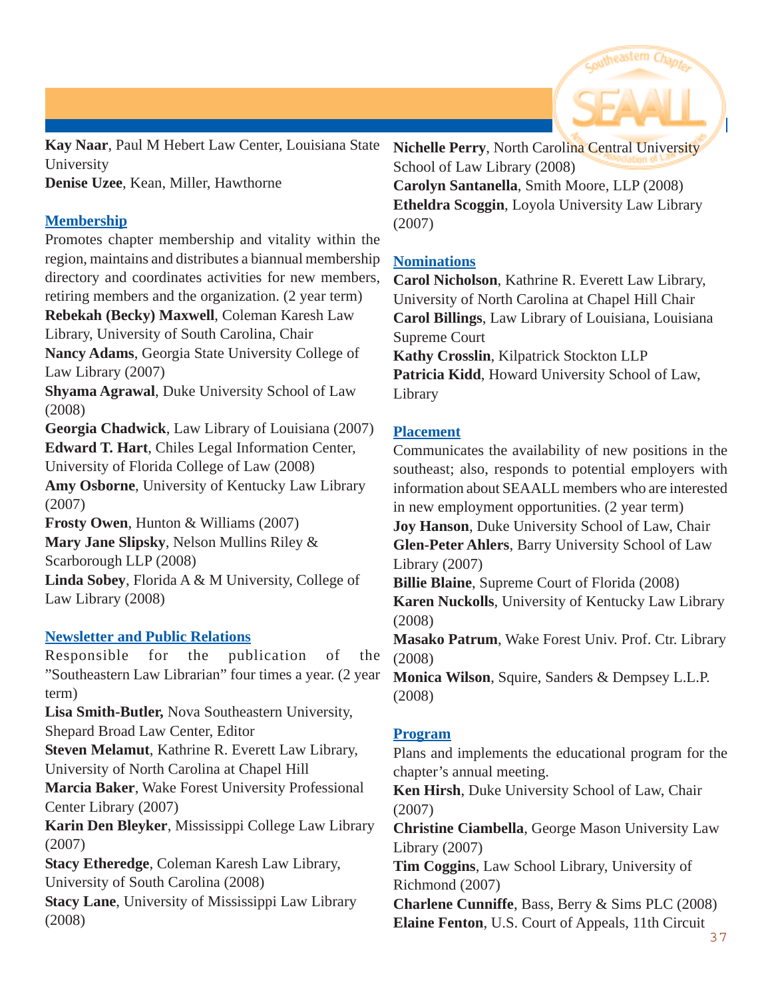

**Kay Naar**, Paul M Hebert Law Center, Louisiana State University

**Denise Uzee**, Kean, Miller, Hawthorne

#### **Membership**

Promotes chapter membership and vitality within the region, maintains and distributes a biannual membership directory and coordinates activities for new members, retiring members and the organization. (2 year term) **Rebekah (Becky) Maxwell**, Coleman Karesh Law Library, University of South Carolina, Chair **Nancy Adams**, Georgia State University College of Law Library (2007) **Shyama Agrawal**, Duke University School of Law (2008) **Georgia Chadwick**, Law Library of Louisiana (2007)

**Edward T. Hart**, Chiles Legal Information Center, University of Florida College of Law (2008) **Amy Osborne**, University of Kentucky Law Library

(2007)

**Frosty Owen**, Hunton & Williams (2007) **Mary Jane Slipsky**, Nelson Mullins Riley & Scarborough LLP (2008) **Linda Sobey**, Florida A & M University, College of

Law Library (2008)

#### **Newsletter and Public Relations**

Responsible for the publication of the "Southeastern Law Librarian" four times a year. (2 year term) **Lisa Smith-Butler,** Nova Southeastern University,

Shepard Broad Law Center, Editor

**Steven Melamut**, Kathrine R. Everett Law Library, University of North Carolina at Chapel Hill

**Marcia Baker**, Wake Forest University Professional Center Library (2007)

**Karin Den Bleyker**, Mississippi College Law Library (2007)

**Stacy Etheredge**, Coleman Karesh Law Library, University of South Carolina (2008)

**Stacy Lane**, University of Mississippi Law Library (2008)

**Nichelle Perry**, North Carolina Central University School of Law Library (2008)

**Carolyn Santanella**, Smith Moore, LLP (2008) **Etheldra Scoggin**, Loyola University Law Library (2007)

#### **Nominations**

**Carol Nicholson**, Kathrine R. Everett Law Library, University of North Carolina at Chapel Hill Chair **Carol Billings**, Law Library of Louisiana, Louisiana Supreme Court

**Kathy Crosslin**, Kilpatrick Stockton LLP Patricia Kidd, Howard University School of Law, Library

#### **Placement**

Communicates the availability of new positions in the southeast; also, responds to potential employers with information about SEAALL members who are interested in new employment opportunities. (2 year term) **Joy Hanson**, Duke University School of Law, Chair **Glen-Peter Ahlers**, Barry University School of Law Library (2007)

**Billie Blaine**, Supreme Court of Florida (2008) **Karen Nuckolls**, University of Kentucky Law Library (2008)

**Masako Patrum**, Wake Forest Univ. Prof. Ctr. Library (2008)

**Monica Wilson**, Squire, Sanders & Dempsey L.L.P. (2008)

#### **Program**

Plans and implements the educational program for the chapter's annual meeting.

**Ken Hirsh**, Duke University School of Law, Chair (2007)

**Christine Ciambella**, George Mason University Law Library (2007)

**Tim Coggins**, Law School Library, University of Richmond (2007)

**Charlene Cunniffe**, Bass, Berry & Sims PLC (2008) **Elaine Fenton**, U.S. Court of Appeals, 11th Circuit